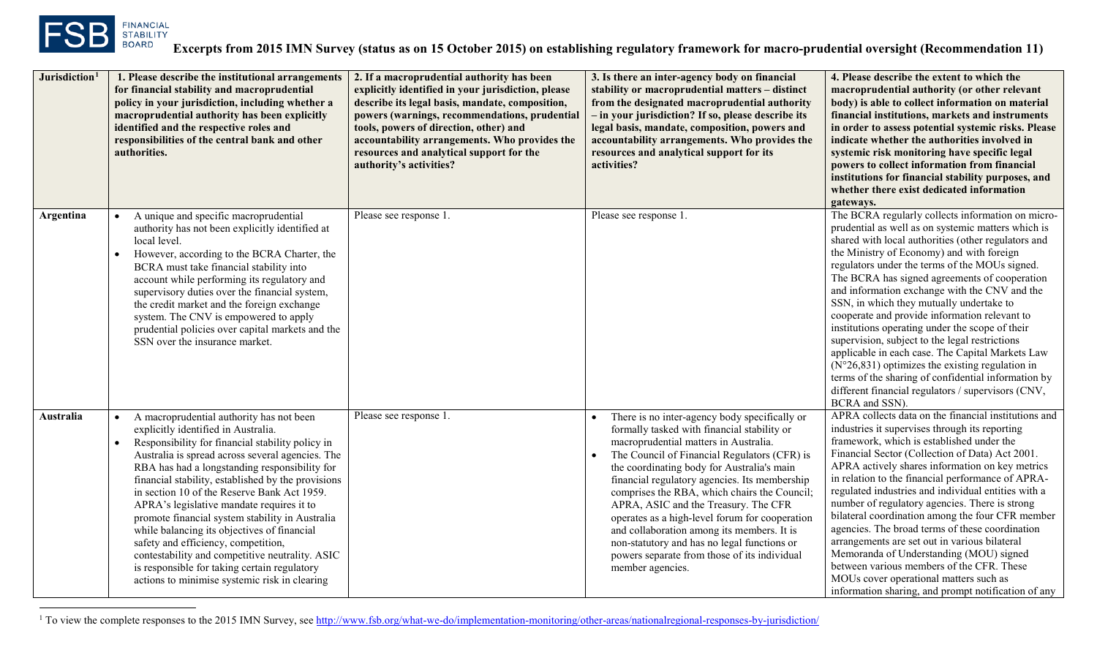<span id="page-0-0"></span>

l

| Jurisdiction <sup>1</sup> | 1. Please describe the institutional arrangements<br>for financial stability and macroprudential<br>policy in your jurisdiction, including whether a<br>macroprudential authority has been explicitly<br>identified and the respective roles and<br>responsibilities of the central bank and other<br>authorities.                                                                                                                                                                                                                                                                                                                                                                                                | 2. If a macroprudential authority has been<br>explicitly identified in your jurisdiction, please<br>describe its legal basis, mandate, composition,<br>powers (warnings, recommendations, prudential<br>tools, powers of direction, other) and<br>accountability arrangements. Who provides the<br>resources and analytical support for the<br>authority's activities? | 3. Is there an inter-agency body on financial<br>stability or macroprudential matters - distinct<br>from the designated macroprudential authority<br>- in your jurisdiction? If so, please describe its<br>legal basis, mandate, composition, powers and<br>accountability arrangements. Who provides the<br>resources and analytical support for its<br>activities?                                                                                                                                                                                                                            | 4. Please describe the extent to which the<br>macroprudential authority (or other relevant<br>body) is able to collect information on material<br>financial institutions, markets and instruments<br>in order to assess potential systemic risks. Please<br>indicate whether the authorities involved in<br>systemic risk monitoring have specific legal<br>powers to collect information from financial<br>institutions for financial stability purposes, and<br>whether there exist dedicated information<br>gateways.                                                                                                                                                                                                                                                                                  |
|---------------------------|-------------------------------------------------------------------------------------------------------------------------------------------------------------------------------------------------------------------------------------------------------------------------------------------------------------------------------------------------------------------------------------------------------------------------------------------------------------------------------------------------------------------------------------------------------------------------------------------------------------------------------------------------------------------------------------------------------------------|------------------------------------------------------------------------------------------------------------------------------------------------------------------------------------------------------------------------------------------------------------------------------------------------------------------------------------------------------------------------|-------------------------------------------------------------------------------------------------------------------------------------------------------------------------------------------------------------------------------------------------------------------------------------------------------------------------------------------------------------------------------------------------------------------------------------------------------------------------------------------------------------------------------------------------------------------------------------------------|-----------------------------------------------------------------------------------------------------------------------------------------------------------------------------------------------------------------------------------------------------------------------------------------------------------------------------------------------------------------------------------------------------------------------------------------------------------------------------------------------------------------------------------------------------------------------------------------------------------------------------------------------------------------------------------------------------------------------------------------------------------------------------------------------------------|
| Argentina                 | A unique and specific macroprudential<br>$\bullet$<br>authority has not been explicitly identified at<br>local level.<br>However, according to the BCRA Charter, the<br>$\bullet$<br>BCRA must take financial stability into<br>account while performing its regulatory and<br>supervisory duties over the financial system,<br>the credit market and the foreign exchange<br>system. The CNV is empowered to apply<br>prudential policies over capital markets and the<br>SSN over the insurance market.                                                                                                                                                                                                         | Please see response 1.                                                                                                                                                                                                                                                                                                                                                 | Please see response 1.                                                                                                                                                                                                                                                                                                                                                                                                                                                                                                                                                                          | The BCRA regularly collects information on micro-<br>prudential as well as on systemic matters which is<br>shared with local authorities (other regulators and<br>the Ministry of Economy) and with foreign<br>regulators under the terms of the MOUs signed.<br>The BCRA has signed agreements of cooperation<br>and information exchange with the CNV and the<br>SSN, in which they mutually undertake to<br>cooperate and provide information relevant to<br>institutions operating under the scope of their<br>supervision, subject to the legal restrictions<br>applicable in each case. The Capital Markets Law<br>$(N°26,831)$ optimizes the existing regulation in<br>terms of the sharing of confidential information by<br>different financial regulators / supervisors (CNV,<br>BCRA and SSN). |
| Australia                 | A macroprudential authority has not been<br>$\bullet$<br>explicitly identified in Australia.<br>Responsibility for financial stability policy in<br>$\bullet$<br>Australia is spread across several agencies. The<br>RBA has had a longstanding responsibility for<br>financial stability, established by the provisions<br>in section 10 of the Reserve Bank Act 1959.<br>APRA's legislative mandate requires it to<br>promote financial system stability in Australia<br>while balancing its objectives of financial<br>safety and efficiency, competition,<br>contestability and competitive neutrality. ASIC<br>is responsible for taking certain regulatory<br>actions to minimise systemic risk in clearing | Please see response 1.                                                                                                                                                                                                                                                                                                                                                 | There is no inter-agency body specifically or<br>formally tasked with financial stability or<br>macroprudential matters in Australia.<br>The Council of Financial Regulators (CFR) is<br>the coordinating body for Australia's main<br>financial regulatory agencies. Its membership<br>comprises the RBA, which chairs the Council;<br>APRA, ASIC and the Treasury. The CFR<br>operates as a high-level forum for cooperation<br>and collaboration among its members. It is<br>non-statutory and has no legal functions or<br>powers separate from those of its individual<br>member agencies. | APRA collects data on the financial institutions and<br>industries it supervises through its reporting<br>framework, which is established under the<br>Financial Sector (Collection of Data) Act 2001.<br>APRA actively shares information on key metrics<br>in relation to the financial performance of APRA-<br>regulated industries and individual entities with a<br>number of regulatory agencies. There is strong<br>bilateral coordination among the four CFR member<br>agencies. The broad terms of these coordination<br>arrangements are set out in various bilateral<br>Memoranda of Understanding (MOU) signed<br>between various members of the CFR. These<br>MOUs cover operational matters such as<br>information sharing, and prompt notification of any                                  |

<sup>1</sup> To view the complete responses to the 2015 IMN Survey, se[e http://www.fsb.org/what-we-do/implementation-monitoring/other-areas/nationalregional-responses-by-jurisdiction/](http://www.fsb.org/what-we-do/implementation-monitoring/other-areas/nationalregional-responses-by-jurisdiction/)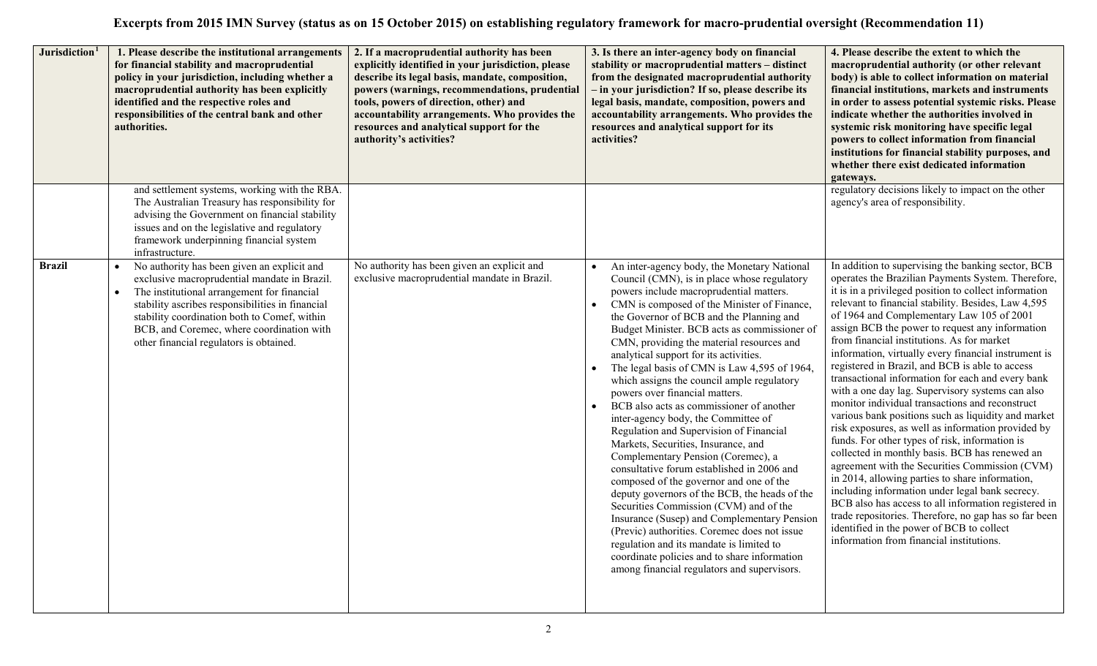| Jurisdiction <sup>1</sup> | 1. Please describe the institutional arrangements<br>for financial stability and macroprudential<br>policy in your jurisdiction, including whether a<br>macroprudential authority has been explicitly<br>identified and the respective roles and<br>responsibilities of the central bank and other<br>authorities.                                  | 2. If a macroprudential authority has been<br>explicitly identified in your jurisdiction, please<br>describe its legal basis, mandate, composition,<br>powers (warnings, recommendations, prudential<br>tools, powers of direction, other) and<br>accountability arrangements. Who provides the<br>resources and analytical support for the<br>authority's activities? | 3. Is there an inter-agency body on financial<br>stability or macroprudential matters - distinct<br>from the designated macroprudential authority<br>- in your jurisdiction? If so, please describe its<br>legal basis, mandate, composition, powers and<br>accountability arrangements. Who provides the<br>resources and analytical support for its<br>activities?                                                                                                                                                                                                                                                                                                                                                                                                                                                                                                                                                                                                                                                                                                                                                                                          | 4. Please describe the extent to which the<br>macroprudential authority (or other relevant<br>body) is able to collect information on material<br>financial institutions, markets and instruments<br>in order to assess potential systemic risks. Please<br>indicate whether the authorities involved in<br>systemic risk monitoring have specific legal<br>powers to collect information from financial<br>institutions for financial stability purposes, and<br>whether there exist dedicated information<br>gateways.                                                                                                                                                                                                                                                                                                                                                                                                                                                                                                                                                                                                                                                                                                         |
|---------------------------|-----------------------------------------------------------------------------------------------------------------------------------------------------------------------------------------------------------------------------------------------------------------------------------------------------------------------------------------------------|------------------------------------------------------------------------------------------------------------------------------------------------------------------------------------------------------------------------------------------------------------------------------------------------------------------------------------------------------------------------|---------------------------------------------------------------------------------------------------------------------------------------------------------------------------------------------------------------------------------------------------------------------------------------------------------------------------------------------------------------------------------------------------------------------------------------------------------------------------------------------------------------------------------------------------------------------------------------------------------------------------------------------------------------------------------------------------------------------------------------------------------------------------------------------------------------------------------------------------------------------------------------------------------------------------------------------------------------------------------------------------------------------------------------------------------------------------------------------------------------------------------------------------------------|----------------------------------------------------------------------------------------------------------------------------------------------------------------------------------------------------------------------------------------------------------------------------------------------------------------------------------------------------------------------------------------------------------------------------------------------------------------------------------------------------------------------------------------------------------------------------------------------------------------------------------------------------------------------------------------------------------------------------------------------------------------------------------------------------------------------------------------------------------------------------------------------------------------------------------------------------------------------------------------------------------------------------------------------------------------------------------------------------------------------------------------------------------------------------------------------------------------------------------|
|                           | and settlement systems, working with the RBA.<br>The Australian Treasury has responsibility for<br>advising the Government on financial stability<br>issues and on the legislative and regulatory<br>framework underpinning financial system<br>infrastructure.                                                                                     |                                                                                                                                                                                                                                                                                                                                                                        |                                                                                                                                                                                                                                                                                                                                                                                                                                                                                                                                                                                                                                                                                                                                                                                                                                                                                                                                                                                                                                                                                                                                                               | regulatory decisions likely to impact on the other<br>agency's area of responsibility.                                                                                                                                                                                                                                                                                                                                                                                                                                                                                                                                                                                                                                                                                                                                                                                                                                                                                                                                                                                                                                                                                                                                           |
| <b>Brazil</b>             | No authority has been given an explicit and<br>$\bullet$<br>exclusive macroprudential mandate in Brazil.<br>The institutional arrangement for financial<br>stability ascribes responsibilities in financial<br>stability coordination both to Comef, within<br>BCB, and Coremec, where coordination with<br>other financial regulators is obtained. | No authority has been given an explicit and<br>exclusive macroprudential mandate in Brazil.                                                                                                                                                                                                                                                                            | An inter-agency body, the Monetary National<br>$\bullet$<br>Council (CMN), is in place whose regulatory<br>powers include macroprudential matters.<br>CMN is composed of the Minister of Finance,<br>the Governor of BCB and the Planning and<br>Budget Minister. BCB acts as commissioner of<br>CMN, providing the material resources and<br>analytical support for its activities.<br>The legal basis of CMN is Law 4,595 of 1964,<br>which assigns the council ample regulatory<br>powers over financial matters.<br>BCB also acts as commissioner of another<br>inter-agency body, the Committee of<br>Regulation and Supervision of Financial<br>Markets, Securities, Insurance, and<br>Complementary Pension (Coremec), a<br>consultative forum established in 2006 and<br>composed of the governor and one of the<br>deputy governors of the BCB, the heads of the<br>Securities Commission (CVM) and of the<br>Insurance (Susep) and Complementary Pension<br>(Previc) authorities. Coremec does not issue<br>regulation and its mandate is limited to<br>coordinate policies and to share information<br>among financial regulators and supervisors. | In addition to supervising the banking sector, BCB<br>operates the Brazilian Payments System. Therefore,<br>it is in a privileged position to collect information<br>relevant to financial stability. Besides, Law 4,595<br>of 1964 and Complementary Law 105 of 2001<br>assign BCB the power to request any information<br>from financial institutions. As for market<br>information, virtually every financial instrument is<br>registered in Brazil, and BCB is able to access<br>transactional information for each and every bank<br>with a one day lag. Supervisory systems can also<br>monitor individual transactions and reconstruct<br>various bank positions such as liquidity and market<br>risk exposures, as well as information provided by<br>funds. For other types of risk, information is<br>collected in monthly basis. BCB has renewed an<br>agreement with the Securities Commission (CVM)<br>in 2014, allowing parties to share information,<br>including information under legal bank secrecy.<br>BCB also has access to all information registered in<br>trade repositories. Therefore, no gap has so far been<br>identified in the power of BCB to collect<br>information from financial institutions. |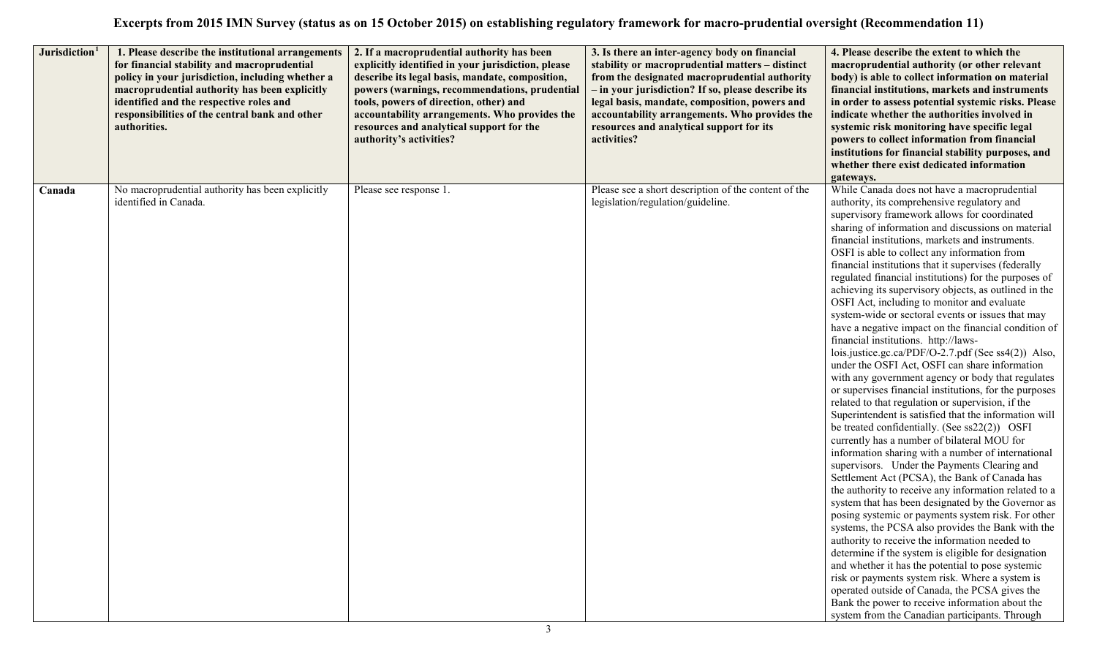| Jurisdiction <sup>1</sup> | 1. Please describe the institutional arrangements<br>for financial stability and macroprudential<br>policy in your jurisdiction, including whether a<br>macroprudential authority has been explicitly<br>identified and the respective roles and<br>responsibilities of the central bank and other<br>authorities. | 2. If a macroprudential authority has been<br>explicitly identified in your jurisdiction, please<br>describe its legal basis, mandate, composition,<br>powers (warnings, recommendations, prudential<br>tools, powers of direction, other) and<br>accountability arrangements. Who provides the<br>resources and analytical support for the<br>authority's activities? | 3. Is there an inter-agency body on financial<br>stability or macroprudential matters - distinct<br>from the designated macroprudential authority<br>- in your jurisdiction? If so, please describe its<br>legal basis, mandate, composition, powers and<br>accountability arrangements. Who provides the<br>resources and analytical support for its<br>activities? | 4. Please describe the extent to which the<br>macroprudential authority (or other relevant<br>body) is able to collect information on material<br>financial institutions, markets and instruments<br>in order to assess potential systemic risks. Please<br>indicate whether the authorities involved in<br>systemic risk monitoring have specific legal<br>powers to collect information from financial<br>institutions for financial stability purposes, and<br>whether there exist dedicated information<br>gateways.                                                                                                                                                                                                                                                                                                                                                                                                                                                                                                                                                                                                                                                                                                                                                                                                                                                                                                                                                                                                                                                                                                                                                                                                                                                                                                                                                           |
|---------------------------|--------------------------------------------------------------------------------------------------------------------------------------------------------------------------------------------------------------------------------------------------------------------------------------------------------------------|------------------------------------------------------------------------------------------------------------------------------------------------------------------------------------------------------------------------------------------------------------------------------------------------------------------------------------------------------------------------|----------------------------------------------------------------------------------------------------------------------------------------------------------------------------------------------------------------------------------------------------------------------------------------------------------------------------------------------------------------------|------------------------------------------------------------------------------------------------------------------------------------------------------------------------------------------------------------------------------------------------------------------------------------------------------------------------------------------------------------------------------------------------------------------------------------------------------------------------------------------------------------------------------------------------------------------------------------------------------------------------------------------------------------------------------------------------------------------------------------------------------------------------------------------------------------------------------------------------------------------------------------------------------------------------------------------------------------------------------------------------------------------------------------------------------------------------------------------------------------------------------------------------------------------------------------------------------------------------------------------------------------------------------------------------------------------------------------------------------------------------------------------------------------------------------------------------------------------------------------------------------------------------------------------------------------------------------------------------------------------------------------------------------------------------------------------------------------------------------------------------------------------------------------------------------------------------------------------------------------------------------------|
| Canada                    | No macroprudential authority has been explicitly<br>identified in Canada.                                                                                                                                                                                                                                          | Please see response 1.                                                                                                                                                                                                                                                                                                                                                 | Please see a short description of the content of the<br>legislation/regulation/guideline.                                                                                                                                                                                                                                                                            | While Canada does not have a macroprudential<br>authority, its comprehensive regulatory and<br>supervisory framework allows for coordinated<br>sharing of information and discussions on material<br>financial institutions, markets and instruments.<br>OSFI is able to collect any information from<br>financial institutions that it supervises (federally<br>regulated financial institutions) for the purposes of<br>achieving its supervisory objects, as outlined in the<br>OSFI Act, including to monitor and evaluate<br>system-wide or sectoral events or issues that may<br>have a negative impact on the financial condition of<br>financial institutions. http://laws-<br>lois.justice.gc.ca/PDF/O-2.7.pdf (See ss4(2)) Also,<br>under the OSFI Act, OSFI can share information<br>with any government agency or body that regulates<br>or supervises financial institutions, for the purposes<br>related to that regulation or supervision, if the<br>Superintendent is satisfied that the information will<br>be treated confidentially. (See ss22(2)) OSFI<br>currently has a number of bilateral MOU for<br>information sharing with a number of international<br>supervisors. Under the Payments Clearing and<br>Settlement Act (PCSA), the Bank of Canada has<br>the authority to receive any information related to a<br>system that has been designated by the Governor as<br>posing systemic or payments system risk. For other<br>systems, the PCSA also provides the Bank with the<br>authority to receive the information needed to<br>determine if the system is eligible for designation<br>and whether it has the potential to pose systemic<br>risk or payments system risk. Where a system is<br>operated outside of Canada, the PCSA gives the<br>Bank the power to receive information about the<br>system from the Canadian participants. Through |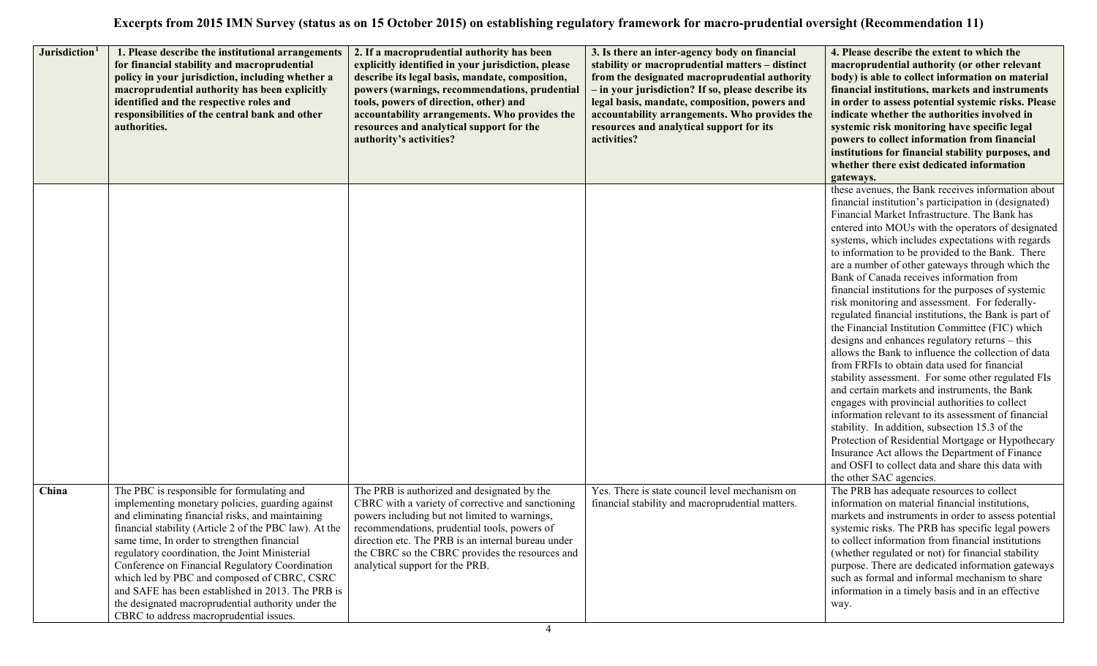| Jurisdiction <sup>1</sup> | 1. Please describe the institutional arrangements<br>for financial stability and macroprudential<br>policy in your jurisdiction, including whether a<br>macroprudential authority has been explicitly<br>identified and the respective roles and<br>responsibilities of the central bank and other<br>authorities.                                                                                                                                                                                                                                                    | 2. If a macroprudential authority has been<br>explicitly identified in your jurisdiction, please<br>describe its legal basis, mandate, composition,<br>powers (warnings, recommendations, prudential<br>tools, powers of direction, other) and<br>accountability arrangements. Who provides the<br>resources and analytical support for the<br>authority's activities? | 3. Is there an inter-agency body on financial<br>stability or macroprudential matters - distinct<br>from the designated macroprudential authority<br>- in your jurisdiction? If so, please describe its<br>legal basis, mandate, composition, powers and<br>accountability arrangements. Who provides the<br>resources and analytical support for its<br>activities? | 4. Please describe the extent to which the<br>macroprudential authority (or other relevant<br>body) is able to collect information on material<br>financial institutions, markets and instruments<br>in order to assess potential systemic risks. Please<br>indicate whether the authorities involved in<br>systemic risk monitoring have specific legal<br>powers to collect information from financial<br>institutions for financial stability purposes, and<br>whether there exist dedicated information<br>gateways.                                                                                                                                                                                                                                                                                                                                                                                                                                                                                                                                                                                                                                                                                                                                           |
|---------------------------|-----------------------------------------------------------------------------------------------------------------------------------------------------------------------------------------------------------------------------------------------------------------------------------------------------------------------------------------------------------------------------------------------------------------------------------------------------------------------------------------------------------------------------------------------------------------------|------------------------------------------------------------------------------------------------------------------------------------------------------------------------------------------------------------------------------------------------------------------------------------------------------------------------------------------------------------------------|----------------------------------------------------------------------------------------------------------------------------------------------------------------------------------------------------------------------------------------------------------------------------------------------------------------------------------------------------------------------|--------------------------------------------------------------------------------------------------------------------------------------------------------------------------------------------------------------------------------------------------------------------------------------------------------------------------------------------------------------------------------------------------------------------------------------------------------------------------------------------------------------------------------------------------------------------------------------------------------------------------------------------------------------------------------------------------------------------------------------------------------------------------------------------------------------------------------------------------------------------------------------------------------------------------------------------------------------------------------------------------------------------------------------------------------------------------------------------------------------------------------------------------------------------------------------------------------------------------------------------------------------------|
|                           |                                                                                                                                                                                                                                                                                                                                                                                                                                                                                                                                                                       |                                                                                                                                                                                                                                                                                                                                                                        |                                                                                                                                                                                                                                                                                                                                                                      | these avenues, the Bank receives information about<br>financial institution's participation in (designated)<br>Financial Market Infrastructure. The Bank has<br>entered into MOUs with the operators of designated<br>systems, which includes expectations with regards<br>to information to be provided to the Bank. There<br>are a number of other gateways through which the<br>Bank of Canada receives information from<br>financial institutions for the purposes of systemic<br>risk monitoring and assessment. For federally-<br>regulated financial institutions, the Bank is part of<br>the Financial Institution Committee (FIC) which<br>designs and enhances regulatory returns – this<br>allows the Bank to influence the collection of data<br>from FRFIs to obtain data used for financial<br>stability assessment. For some other regulated FIs<br>and certain markets and instruments, the Bank<br>engages with provincial authorities to collect<br>information relevant to its assessment of financial<br>stability. In addition, subsection 15.3 of the<br>Protection of Residential Mortgage or Hypothecary<br>Insurance Act allows the Department of Finance<br>and OSFI to collect data and share this data with<br>the other SAC agencies. |
| China                     | The PBC is responsible for formulating and<br>implementing monetary policies, guarding against<br>and eliminating financial risks, and maintaining<br>financial stability (Article 2 of the PBC law). At the<br>same time, In order to strengthen financial<br>regulatory coordination, the Joint Ministerial<br>Conference on Financial Regulatory Coordination<br>which led by PBC and composed of CBRC, CSRC<br>and SAFE has been established in 2013. The PRB is<br>the designated macroprudential authority under the<br>CBRC to address macroprudential issues. | The PRB is authorized and designated by the<br>CBRC with a variety of corrective and sanctioning<br>powers including but not limited to warnings,<br>recommendations, prudential tools, powers of<br>direction etc. The PRB is an internal bureau under<br>the CBRC so the CBRC provides the resources and<br>analytical support for the PRB.                          | Yes. There is state council level mechanism on<br>financial stability and macroprudential matters.                                                                                                                                                                                                                                                                   | The PRB has adequate resources to collect<br>information on material financial institutions,<br>markets and instruments in order to assess potential<br>systemic risks. The PRB has specific legal powers<br>to collect information from financial institutions<br>(whether regulated or not) for financial stability<br>purpose. There are dedicated information gateways<br>such as formal and informal mechanism to share<br>information in a timely basis and in an effective<br>way.                                                                                                                                                                                                                                                                                                                                                                                                                                                                                                                                                                                                                                                                                                                                                                          |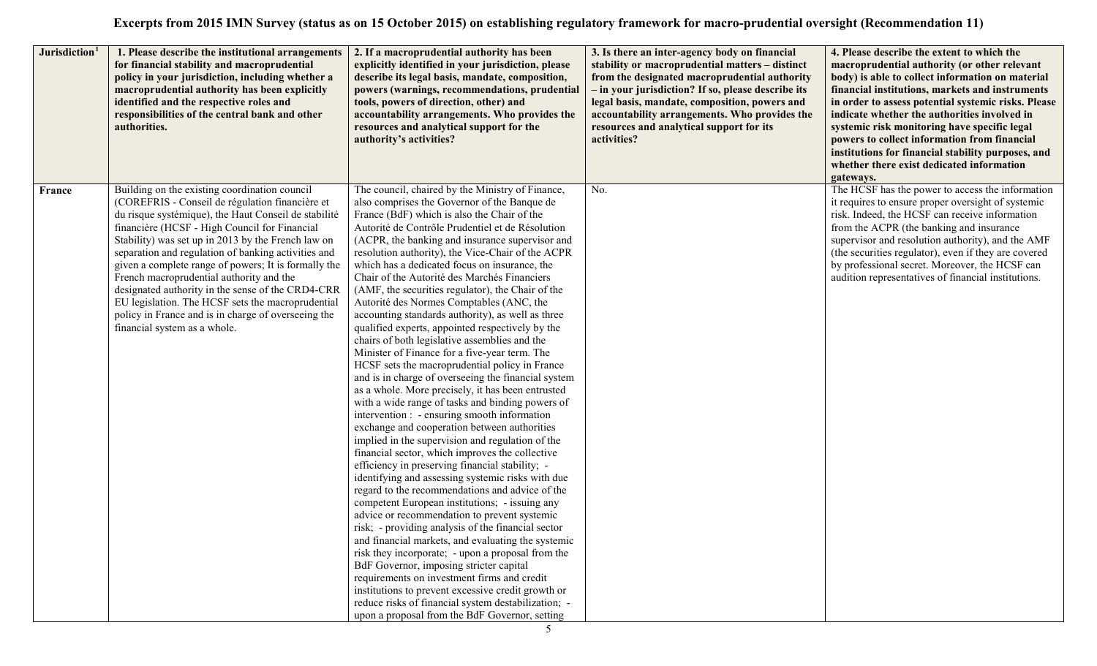| Jurisdiction <sup>1</sup> | 1. Please describe the institutional arrangements<br>for financial stability and macroprudential<br>policy in your jurisdiction, including whether a<br>macroprudential authority has been explicitly<br>identified and the respective roles and<br>responsibilities of the central bank and other<br>authorities.                                                                                                                                                                                                                                                                                                          | 2. If a macroprudential authority has been<br>explicitly identified in your jurisdiction, please<br>describe its legal basis, mandate, composition,<br>powers (warnings, recommendations, prudential<br>tools, powers of direction, other) and<br>accountability arrangements. Who provides the<br>resources and analytical support for the<br>authority's activities?                                                                                                                                                                                                                                                                                                                                                                                                                                                                                                                                                                                                                                                                                                                                                                                                                                                                                                                                                                                                                                                                                                                                                                                                                                                                                                                                                                                                                                                                   | 3. Is there an inter-agency body on financial<br>stability or macroprudential matters - distinct<br>from the designated macroprudential authority<br>- in your jurisdiction? If so, please describe its<br>legal basis, mandate, composition, powers and<br>accountability arrangements. Who provides the<br>resources and analytical support for its<br>activities? | 4. Please describe the extent to which the<br>macroprudential authority (or other relevant<br>body) is able to collect information on material<br>financial institutions, markets and instruments<br>in order to assess potential systemic risks. Please<br>indicate whether the authorities involved in<br>systemic risk monitoring have specific legal<br>powers to collect information from financial<br>institutions for financial stability purposes, and<br>whether there exist dedicated information<br>gateways. |
|---------------------------|-----------------------------------------------------------------------------------------------------------------------------------------------------------------------------------------------------------------------------------------------------------------------------------------------------------------------------------------------------------------------------------------------------------------------------------------------------------------------------------------------------------------------------------------------------------------------------------------------------------------------------|------------------------------------------------------------------------------------------------------------------------------------------------------------------------------------------------------------------------------------------------------------------------------------------------------------------------------------------------------------------------------------------------------------------------------------------------------------------------------------------------------------------------------------------------------------------------------------------------------------------------------------------------------------------------------------------------------------------------------------------------------------------------------------------------------------------------------------------------------------------------------------------------------------------------------------------------------------------------------------------------------------------------------------------------------------------------------------------------------------------------------------------------------------------------------------------------------------------------------------------------------------------------------------------------------------------------------------------------------------------------------------------------------------------------------------------------------------------------------------------------------------------------------------------------------------------------------------------------------------------------------------------------------------------------------------------------------------------------------------------------------------------------------------------------------------------------------------------|----------------------------------------------------------------------------------------------------------------------------------------------------------------------------------------------------------------------------------------------------------------------------------------------------------------------------------------------------------------------|--------------------------------------------------------------------------------------------------------------------------------------------------------------------------------------------------------------------------------------------------------------------------------------------------------------------------------------------------------------------------------------------------------------------------------------------------------------------------------------------------------------------------|
| France                    | Building on the existing coordination council<br>(COREFRIS - Conseil de régulation financière et<br>du risque systémique), the Haut Conseil de stabilité<br>financière (HCSF - High Council for Financial<br>Stability) was set up in 2013 by the French law on<br>separation and regulation of banking activities and<br>given a complete range of powers; It is formally the<br>French macroprudential authority and the<br>designated authority in the sense of the CRD4-CRR<br>EU legislation. The HCSF sets the macroprudential<br>policy in France and is in charge of overseeing the<br>financial system as a whole. | The council, chaired by the Ministry of Finance,<br>also comprises the Governor of the Banque de<br>France (BdF) which is also the Chair of the<br>Autorité de Contrôle Prudentiel et de Résolution<br>(ACPR, the banking and insurance supervisor and<br>resolution authority), the Vice-Chair of the ACPR<br>which has a dedicated focus on insurance, the<br>Chair of the Autorité des Marchés Financiers<br>(AMF, the securities regulator), the Chair of the<br>Autorité des Normes Comptables (ANC, the<br>accounting standards authority), as well as three<br>qualified experts, appointed respectively by the<br>chairs of both legislative assemblies and the<br>Minister of Finance for a five-year term. The<br>HCSF sets the macroprudential policy in France<br>and is in charge of overseeing the financial system<br>as a whole. More precisely, it has been entrusted<br>with a wide range of tasks and binding powers of<br>intervention : - ensuring smooth information<br>exchange and cooperation between authorities<br>implied in the supervision and regulation of the<br>financial sector, which improves the collective<br>efficiency in preserving financial stability; -<br>identifying and assessing systemic risks with due<br>regard to the recommendations and advice of the<br>competent European institutions; - issuing any<br>advice or recommendation to prevent systemic<br>risk; - providing analysis of the financial sector<br>and financial markets, and evaluating the systemic<br>risk they incorporate; - upon a proposal from the<br>BdF Governor, imposing stricter capital<br>requirements on investment firms and credit<br>institutions to prevent excessive credit growth or<br>reduce risks of financial system destabilization; -<br>upon a proposal from the BdF Governor, setting | No.                                                                                                                                                                                                                                                                                                                                                                  | The HCSF has the power to access the information<br>it requires to ensure proper oversight of systemic<br>risk. Indeed, the HCSF can receive information<br>from the ACPR (the banking and insurance<br>supervisor and resolution authority), and the AMF<br>(the securities regulator), even if they are covered<br>by professional secret. Moreover, the HCSF can<br>audition representatives of financial institutions.                                                                                               |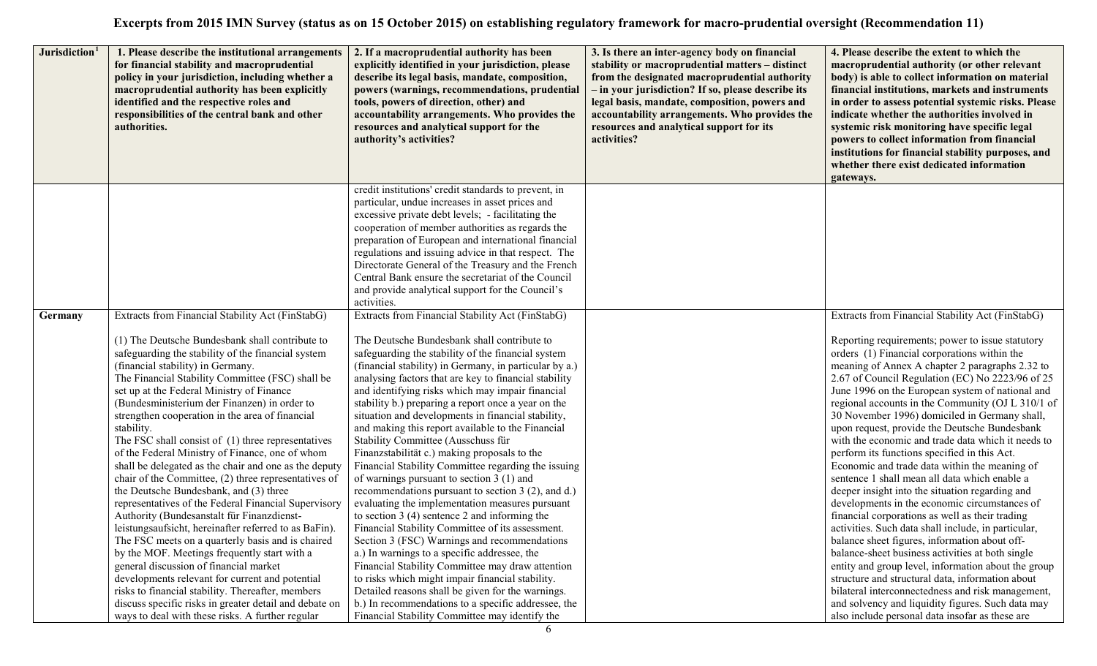| Jurisdiction <sup>1</sup> | 1. Please describe the institutional arrangements<br>for financial stability and macroprudential<br>policy in your jurisdiction, including whether a<br>macroprudential authority has been explicitly<br>identified and the respective roles and<br>responsibilities of the central bank and other<br>authorities. | 2. If a macroprudential authority has been<br>explicitly identified in your jurisdiction, please<br>describe its legal basis, mandate, composition,<br>powers (warnings, recommendations, prudential<br>tools, powers of direction, other) and<br>accountability arrangements. Who provides the<br>resources and analytical support for the<br>authority's activities? | 3. Is there an inter-agency body on financial<br>stability or macroprudential matters - distinct<br>from the designated macroprudential authority<br>- in your jurisdiction? If so, please describe its<br>legal basis, mandate, composition, powers and<br>accountability arrangements. Who provides the<br>resources and analytical support for its<br>activities? | 4. Please describe the extent to which the<br>macroprudential authority (or other relevant<br>body) is able to collect information on material<br>financial institutions, markets and instruments<br>in order to assess potential systemic risks. Please<br>indicate whether the authorities involved in<br>systemic risk monitoring have specific legal<br>powers to collect information from financial<br>institutions for financial stability purposes, and<br>whether there exist dedicated information<br>gateways. |
|---------------------------|--------------------------------------------------------------------------------------------------------------------------------------------------------------------------------------------------------------------------------------------------------------------------------------------------------------------|------------------------------------------------------------------------------------------------------------------------------------------------------------------------------------------------------------------------------------------------------------------------------------------------------------------------------------------------------------------------|----------------------------------------------------------------------------------------------------------------------------------------------------------------------------------------------------------------------------------------------------------------------------------------------------------------------------------------------------------------------|--------------------------------------------------------------------------------------------------------------------------------------------------------------------------------------------------------------------------------------------------------------------------------------------------------------------------------------------------------------------------------------------------------------------------------------------------------------------------------------------------------------------------|
|                           |                                                                                                                                                                                                                                                                                                                    | credit institutions' credit standards to prevent, in                                                                                                                                                                                                                                                                                                                   |                                                                                                                                                                                                                                                                                                                                                                      |                                                                                                                                                                                                                                                                                                                                                                                                                                                                                                                          |
|                           |                                                                                                                                                                                                                                                                                                                    | particular, undue increases in asset prices and                                                                                                                                                                                                                                                                                                                        |                                                                                                                                                                                                                                                                                                                                                                      |                                                                                                                                                                                                                                                                                                                                                                                                                                                                                                                          |
|                           |                                                                                                                                                                                                                                                                                                                    | excessive private debt levels; - facilitating the                                                                                                                                                                                                                                                                                                                      |                                                                                                                                                                                                                                                                                                                                                                      |                                                                                                                                                                                                                                                                                                                                                                                                                                                                                                                          |
|                           |                                                                                                                                                                                                                                                                                                                    | cooperation of member authorities as regards the                                                                                                                                                                                                                                                                                                                       |                                                                                                                                                                                                                                                                                                                                                                      |                                                                                                                                                                                                                                                                                                                                                                                                                                                                                                                          |
|                           |                                                                                                                                                                                                                                                                                                                    | preparation of European and international financial                                                                                                                                                                                                                                                                                                                    |                                                                                                                                                                                                                                                                                                                                                                      |                                                                                                                                                                                                                                                                                                                                                                                                                                                                                                                          |
|                           |                                                                                                                                                                                                                                                                                                                    | regulations and issuing advice in that respect. The                                                                                                                                                                                                                                                                                                                    |                                                                                                                                                                                                                                                                                                                                                                      |                                                                                                                                                                                                                                                                                                                                                                                                                                                                                                                          |
|                           |                                                                                                                                                                                                                                                                                                                    | Directorate General of the Treasury and the French                                                                                                                                                                                                                                                                                                                     |                                                                                                                                                                                                                                                                                                                                                                      |                                                                                                                                                                                                                                                                                                                                                                                                                                                                                                                          |
|                           |                                                                                                                                                                                                                                                                                                                    | Central Bank ensure the secretariat of the Council                                                                                                                                                                                                                                                                                                                     |                                                                                                                                                                                                                                                                                                                                                                      |                                                                                                                                                                                                                                                                                                                                                                                                                                                                                                                          |
|                           |                                                                                                                                                                                                                                                                                                                    | and provide analytical support for the Council's                                                                                                                                                                                                                                                                                                                       |                                                                                                                                                                                                                                                                                                                                                                      |                                                                                                                                                                                                                                                                                                                                                                                                                                                                                                                          |
|                           |                                                                                                                                                                                                                                                                                                                    | activities.                                                                                                                                                                                                                                                                                                                                                            |                                                                                                                                                                                                                                                                                                                                                                      |                                                                                                                                                                                                                                                                                                                                                                                                                                                                                                                          |
| Germany                   | Extracts from Financial Stability Act (FinStabG)                                                                                                                                                                                                                                                                   | Extracts from Financial Stability Act (FinStabG)                                                                                                                                                                                                                                                                                                                       |                                                                                                                                                                                                                                                                                                                                                                      | Extracts from Financial Stability Act (FinStabG)                                                                                                                                                                                                                                                                                                                                                                                                                                                                         |
|                           | (1) The Deutsche Bundesbank shall contribute to                                                                                                                                                                                                                                                                    | The Deutsche Bundesbank shall contribute to                                                                                                                                                                                                                                                                                                                            |                                                                                                                                                                                                                                                                                                                                                                      |                                                                                                                                                                                                                                                                                                                                                                                                                                                                                                                          |
|                           |                                                                                                                                                                                                                                                                                                                    |                                                                                                                                                                                                                                                                                                                                                                        |                                                                                                                                                                                                                                                                                                                                                                      | Reporting requirements; power to issue statutory<br>orders (1) Financial corporations within the                                                                                                                                                                                                                                                                                                                                                                                                                         |
|                           | safeguarding the stability of the financial system<br>(financial stability) in Germany.                                                                                                                                                                                                                            | safeguarding the stability of the financial system<br>(financial stability) in Germany, in particular by a.)                                                                                                                                                                                                                                                           |                                                                                                                                                                                                                                                                                                                                                                      | meaning of Annex A chapter 2 paragraphs 2.32 to                                                                                                                                                                                                                                                                                                                                                                                                                                                                          |
|                           | The Financial Stability Committee (FSC) shall be                                                                                                                                                                                                                                                                   | analysing factors that are key to financial stability                                                                                                                                                                                                                                                                                                                  |                                                                                                                                                                                                                                                                                                                                                                      | 2.67 of Council Regulation (EC) No 2223/96 of 25                                                                                                                                                                                                                                                                                                                                                                                                                                                                         |
|                           | set up at the Federal Ministry of Finance                                                                                                                                                                                                                                                                          | and identifying risks which may impair financial                                                                                                                                                                                                                                                                                                                       |                                                                                                                                                                                                                                                                                                                                                                      | June 1996 on the European system of national and                                                                                                                                                                                                                                                                                                                                                                                                                                                                         |
|                           | (Bundesministerium der Finanzen) in order to                                                                                                                                                                                                                                                                       | stability b.) preparing a report once a year on the                                                                                                                                                                                                                                                                                                                    |                                                                                                                                                                                                                                                                                                                                                                      | regional accounts in the Community (OJ L 310/1 of                                                                                                                                                                                                                                                                                                                                                                                                                                                                        |
|                           | strengthen cooperation in the area of financial                                                                                                                                                                                                                                                                    | situation and developments in financial stability,                                                                                                                                                                                                                                                                                                                     |                                                                                                                                                                                                                                                                                                                                                                      | 30 November 1996) domiciled in Germany shall,                                                                                                                                                                                                                                                                                                                                                                                                                                                                            |
|                           | stability.                                                                                                                                                                                                                                                                                                         | and making this report available to the Financial                                                                                                                                                                                                                                                                                                                      |                                                                                                                                                                                                                                                                                                                                                                      | upon request, provide the Deutsche Bundesbank                                                                                                                                                                                                                                                                                                                                                                                                                                                                            |
|                           | The FSC shall consist of (1) three representatives                                                                                                                                                                                                                                                                 | Stability Committee (Ausschuss für                                                                                                                                                                                                                                                                                                                                     |                                                                                                                                                                                                                                                                                                                                                                      | with the economic and trade data which it needs to                                                                                                                                                                                                                                                                                                                                                                                                                                                                       |
|                           | of the Federal Ministry of Finance, one of whom                                                                                                                                                                                                                                                                    | Finanzstabilität c.) making proposals to the                                                                                                                                                                                                                                                                                                                           |                                                                                                                                                                                                                                                                                                                                                                      | perform its functions specified in this Act.                                                                                                                                                                                                                                                                                                                                                                                                                                                                             |
|                           | shall be delegated as the chair and one as the deputy                                                                                                                                                                                                                                                              | Financial Stability Committee regarding the issuing                                                                                                                                                                                                                                                                                                                    |                                                                                                                                                                                                                                                                                                                                                                      | Economic and trade data within the meaning of                                                                                                                                                                                                                                                                                                                                                                                                                                                                            |
|                           | chair of the Committee, (2) three representatives of                                                                                                                                                                                                                                                               | of warnings pursuant to section 3 (1) and                                                                                                                                                                                                                                                                                                                              |                                                                                                                                                                                                                                                                                                                                                                      | sentence 1 shall mean all data which enable a                                                                                                                                                                                                                                                                                                                                                                                                                                                                            |
|                           | the Deutsche Bundesbank, and (3) three                                                                                                                                                                                                                                                                             | recommendations pursuant to section 3 (2), and d.)                                                                                                                                                                                                                                                                                                                     |                                                                                                                                                                                                                                                                                                                                                                      | deeper insight into the situation regarding and                                                                                                                                                                                                                                                                                                                                                                                                                                                                          |
|                           | representatives of the Federal Financial Supervisory                                                                                                                                                                                                                                                               | evaluating the implementation measures pursuant                                                                                                                                                                                                                                                                                                                        |                                                                                                                                                                                                                                                                                                                                                                      | developments in the economic circumstances of                                                                                                                                                                                                                                                                                                                                                                                                                                                                            |
|                           | Authority (Bundesanstalt für Finanzdienst-                                                                                                                                                                                                                                                                         | to section $3(4)$ sentence 2 and informing the                                                                                                                                                                                                                                                                                                                         |                                                                                                                                                                                                                                                                                                                                                                      | financial corporations as well as their trading                                                                                                                                                                                                                                                                                                                                                                                                                                                                          |
|                           | leistungsaufsicht, hereinafter referred to as BaFin).                                                                                                                                                                                                                                                              | Financial Stability Committee of its assessment.                                                                                                                                                                                                                                                                                                                       |                                                                                                                                                                                                                                                                                                                                                                      | activities. Such data shall include, in particular,                                                                                                                                                                                                                                                                                                                                                                                                                                                                      |
|                           | The FSC meets on a quarterly basis and is chaired                                                                                                                                                                                                                                                                  | Section 3 (FSC) Warnings and recommendations                                                                                                                                                                                                                                                                                                                           |                                                                                                                                                                                                                                                                                                                                                                      | balance sheet figures, information about off-                                                                                                                                                                                                                                                                                                                                                                                                                                                                            |
|                           | by the MOF. Meetings frequently start with a                                                                                                                                                                                                                                                                       | a.) In warnings to a specific addressee, the                                                                                                                                                                                                                                                                                                                           |                                                                                                                                                                                                                                                                                                                                                                      | balance-sheet business activities at both single                                                                                                                                                                                                                                                                                                                                                                                                                                                                         |
|                           | general discussion of financial market                                                                                                                                                                                                                                                                             | Financial Stability Committee may draw attention                                                                                                                                                                                                                                                                                                                       |                                                                                                                                                                                                                                                                                                                                                                      | entity and group level, information about the group                                                                                                                                                                                                                                                                                                                                                                                                                                                                      |
|                           | developments relevant for current and potential                                                                                                                                                                                                                                                                    | to risks which might impair financial stability.                                                                                                                                                                                                                                                                                                                       |                                                                                                                                                                                                                                                                                                                                                                      | structure and structural data, information about                                                                                                                                                                                                                                                                                                                                                                                                                                                                         |
|                           | risks to financial stability. Thereafter, members                                                                                                                                                                                                                                                                  | Detailed reasons shall be given for the warnings.                                                                                                                                                                                                                                                                                                                      |                                                                                                                                                                                                                                                                                                                                                                      | bilateral interconnectedness and risk management,                                                                                                                                                                                                                                                                                                                                                                                                                                                                        |
|                           | discuss specific risks in greater detail and debate on                                                                                                                                                                                                                                                             | b.) In recommendations to a specific addressee, the                                                                                                                                                                                                                                                                                                                    |                                                                                                                                                                                                                                                                                                                                                                      | and solvency and liquidity figures. Such data may                                                                                                                                                                                                                                                                                                                                                                                                                                                                        |
|                           | ways to deal with these risks. A further regular                                                                                                                                                                                                                                                                   | Financial Stability Committee may identify the                                                                                                                                                                                                                                                                                                                         |                                                                                                                                                                                                                                                                                                                                                                      | also include personal data insofar as these are                                                                                                                                                                                                                                                                                                                                                                                                                                                                          |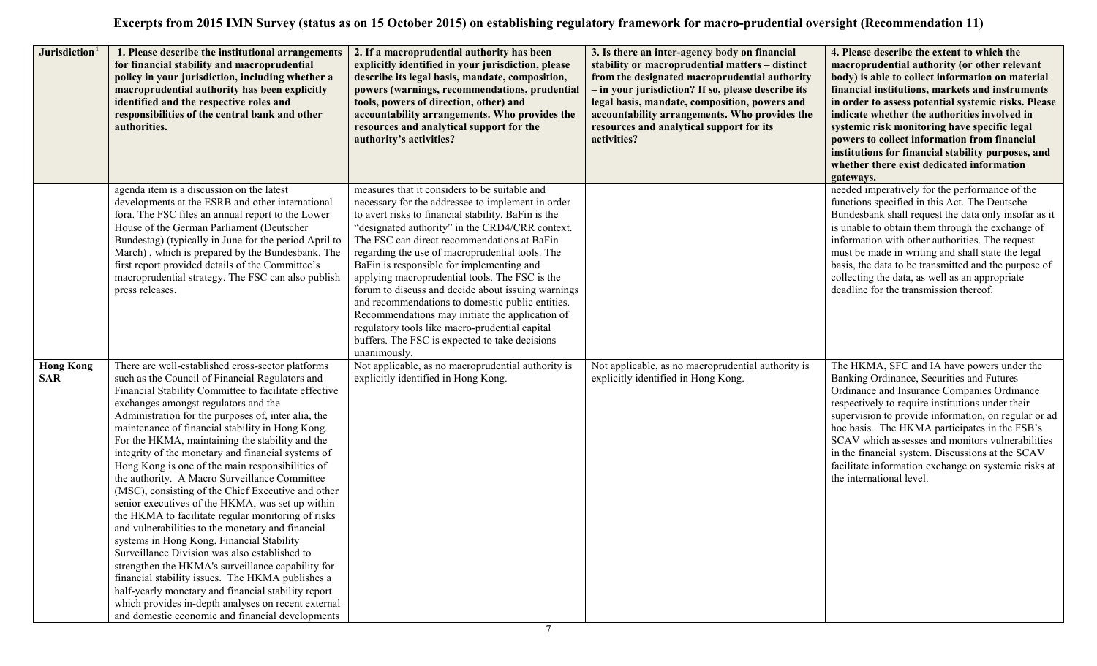| Jurisdiction <sup>1</sup>      | 1. Please describe the institutional arrangements<br>for financial stability and macroprudential<br>policy in your jurisdiction, including whether a<br>macroprudential authority has been explicitly<br>identified and the respective roles and<br>responsibilities of the central bank and other<br>authorities.                                                                                                                                                                                                                                                                                                                                                                                                                                                                                                                                                                                                                                                                                                                                                                                                           | 2. If a macroprudential authority has been<br>explicitly identified in your jurisdiction, please<br>describe its legal basis, mandate, composition,<br>powers (warnings, recommendations, prudential<br>tools, powers of direction, other) and<br>accountability arrangements. Who provides the<br>resources and analytical support for the<br>authority's activities?                                                                                                                                                                                                                                                                                                                         | 3. Is there an inter-agency body on financial<br>stability or macroprudential matters - distinct<br>from the designated macroprudential authority<br>- in your jurisdiction? If so, please describe its<br>legal basis, mandate, composition, powers and<br>accountability arrangements. Who provides the<br>resources and analytical support for its<br>activities? | 4. Please describe the extent to which the<br>macroprudential authority (or other relevant<br>body) is able to collect information on material<br>financial institutions, markets and instruments<br>in order to assess potential systemic risks. Please<br>indicate whether the authorities involved in<br>systemic risk monitoring have specific legal<br>powers to collect information from financial<br>institutions for financial stability purposes, and<br>whether there exist dedicated information<br>gateways. |
|--------------------------------|------------------------------------------------------------------------------------------------------------------------------------------------------------------------------------------------------------------------------------------------------------------------------------------------------------------------------------------------------------------------------------------------------------------------------------------------------------------------------------------------------------------------------------------------------------------------------------------------------------------------------------------------------------------------------------------------------------------------------------------------------------------------------------------------------------------------------------------------------------------------------------------------------------------------------------------------------------------------------------------------------------------------------------------------------------------------------------------------------------------------------|------------------------------------------------------------------------------------------------------------------------------------------------------------------------------------------------------------------------------------------------------------------------------------------------------------------------------------------------------------------------------------------------------------------------------------------------------------------------------------------------------------------------------------------------------------------------------------------------------------------------------------------------------------------------------------------------|----------------------------------------------------------------------------------------------------------------------------------------------------------------------------------------------------------------------------------------------------------------------------------------------------------------------------------------------------------------------|--------------------------------------------------------------------------------------------------------------------------------------------------------------------------------------------------------------------------------------------------------------------------------------------------------------------------------------------------------------------------------------------------------------------------------------------------------------------------------------------------------------------------|
|                                | agenda item is a discussion on the latest<br>developments at the ESRB and other international<br>fora. The FSC files an annual report to the Lower<br>House of the German Parliament (Deutscher<br>Bundestag) (typically in June for the period April to<br>March), which is prepared by the Bundesbank. The<br>first report provided details of the Committee's<br>macroprudential strategy. The FSC can also publish<br>press releases.                                                                                                                                                                                                                                                                                                                                                                                                                                                                                                                                                                                                                                                                                    | measures that it considers to be suitable and<br>necessary for the addressee to implement in order<br>to avert risks to financial stability. BaFin is the<br>"designated authority" in the CRD4/CRR context.<br>The FSC can direct recommendations at BaFin<br>regarding the use of macroprudential tools. The<br>BaFin is responsible for implementing and<br>applying macroprudential tools. The FSC is the<br>forum to discuss and decide about issuing warnings<br>and recommendations to domestic public entities.<br>Recommendations may initiate the application of<br>regulatory tools like macro-prudential capital<br>buffers. The FSC is expected to take decisions<br>unanimously. |                                                                                                                                                                                                                                                                                                                                                                      | needed imperatively for the performance of the<br>functions specified in this Act. The Deutsche<br>Bundesbank shall request the data only insofar as it<br>is unable to obtain them through the exchange of<br>information with other authorities. The request<br>must be made in writing and shall state the legal<br>basis, the data to be transmitted and the purpose of<br>collecting the data, as well as an appropriate<br>deadline for the transmission thereof.                                                  |
| <b>Hong Kong</b><br><b>SAR</b> | There are well-established cross-sector platforms<br>such as the Council of Financial Regulators and<br>Financial Stability Committee to facilitate effective<br>exchanges amongst regulators and the<br>Administration for the purposes of, inter alia, the<br>maintenance of financial stability in Hong Kong.<br>For the HKMA, maintaining the stability and the<br>integrity of the monetary and financial systems of<br>Hong Kong is one of the main responsibilities of<br>the authority. A Macro Surveillance Committee<br>(MSC), consisting of the Chief Executive and other<br>senior executives of the HKMA, was set up within<br>the HKMA to facilitate regular monitoring of risks<br>and vulnerabilities to the monetary and financial<br>systems in Hong Kong. Financial Stability<br>Surveillance Division was also established to<br>strengthen the HKMA's surveillance capability for<br>financial stability issues. The HKMA publishes a<br>half-yearly monetary and financial stability report<br>which provides in-depth analyses on recent external<br>and domestic economic and financial developments | Not applicable, as no macroprudential authority is<br>explicitly identified in Hong Kong.                                                                                                                                                                                                                                                                                                                                                                                                                                                                                                                                                                                                      | Not applicable, as no macroprudential authority is<br>explicitly identified in Hong Kong.                                                                                                                                                                                                                                                                            | The HKMA, SFC and IA have powers under the<br>Banking Ordinance, Securities and Futures<br>Ordinance and Insurance Companies Ordinance<br>respectively to require institutions under their<br>supervision to provide information, on regular or ad<br>hoc basis. The HKMA participates in the FSB's<br>SCAV which assesses and monitors vulnerabilities<br>in the financial system. Discussions at the SCAV<br>facilitate information exchange on systemic risks at<br>the international level.                          |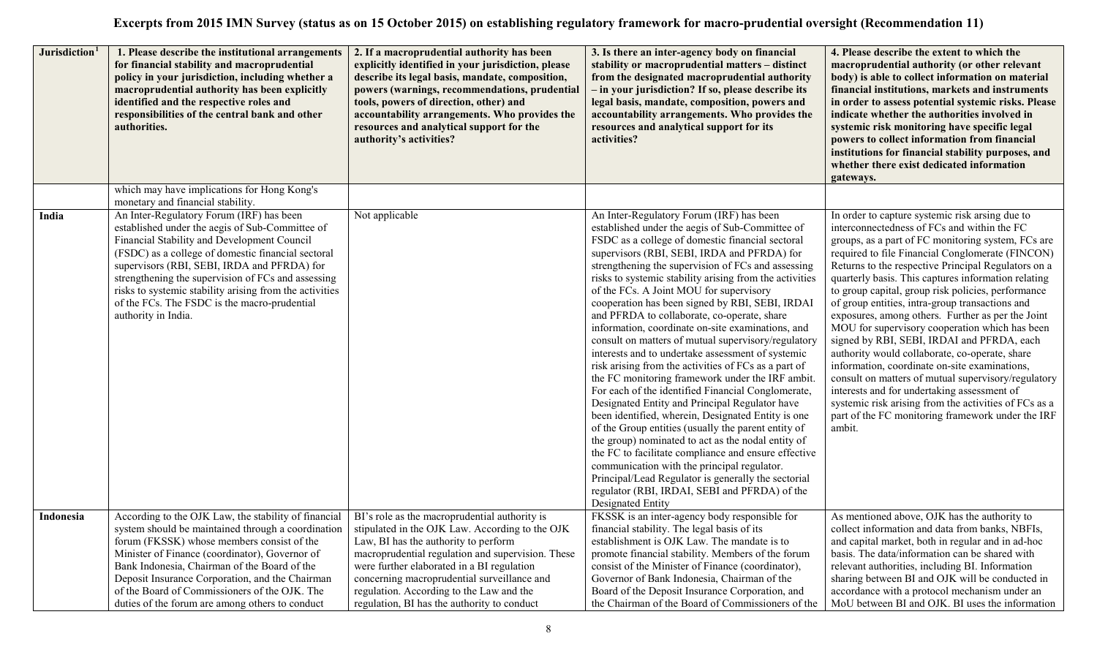|           | Jurisdiction <sup>1</sup><br>1. Please describe the institutional arrangements<br>for financial stability and macroprudential<br>policy in your jurisdiction, including whether a<br>macroprudential authority has been explicitly<br>identified and the respective roles and<br>responsibilities of the central bank and other<br>authorities.                                                                                         | 2. If a macroprudential authority has been<br>explicitly identified in your jurisdiction, please<br>describe its legal basis, mandate, composition,<br>powers (warnings, recommendations, prudential<br>tools, powers of direction, other) and<br>accountability arrangements. Who provides the<br>resources and analytical support for the<br>authority's activities?                | 3. Is there an inter-agency body on financial<br>stability or macroprudential matters - distinct<br>from the designated macroprudential authority<br>- in your jurisdiction? If so, please describe its<br>legal basis, mandate, composition, powers and<br>accountability arrangements. Who provides the<br>resources and analytical support for its<br>activities?                                                                                                                                                                                                                                                                                                                                                                                                                                                                                                                                                                                                                                                                                                                                                                                                                                                                                     | 4. Please describe the extent to which the<br>macroprudential authority (or other relevant<br>body) is able to collect information on material<br>financial institutions, markets and instruments<br>in order to assess potential systemic risks. Please<br>indicate whether the authorities involved in<br>systemic risk monitoring have specific legal<br>powers to collect information from financial<br>institutions for financial stability purposes, and<br>whether there exist dedicated information<br>gateways.                                                                                                                                                                                                                                                                                                                                                                                              |
|-----------|-----------------------------------------------------------------------------------------------------------------------------------------------------------------------------------------------------------------------------------------------------------------------------------------------------------------------------------------------------------------------------------------------------------------------------------------|---------------------------------------------------------------------------------------------------------------------------------------------------------------------------------------------------------------------------------------------------------------------------------------------------------------------------------------------------------------------------------------|----------------------------------------------------------------------------------------------------------------------------------------------------------------------------------------------------------------------------------------------------------------------------------------------------------------------------------------------------------------------------------------------------------------------------------------------------------------------------------------------------------------------------------------------------------------------------------------------------------------------------------------------------------------------------------------------------------------------------------------------------------------------------------------------------------------------------------------------------------------------------------------------------------------------------------------------------------------------------------------------------------------------------------------------------------------------------------------------------------------------------------------------------------------------------------------------------------------------------------------------------------|-----------------------------------------------------------------------------------------------------------------------------------------------------------------------------------------------------------------------------------------------------------------------------------------------------------------------------------------------------------------------------------------------------------------------------------------------------------------------------------------------------------------------------------------------------------------------------------------------------------------------------------------------------------------------------------------------------------------------------------------------------------------------------------------------------------------------------------------------------------------------------------------------------------------------|
|           | which may have implications for Hong Kong's<br>monetary and financial stability.                                                                                                                                                                                                                                                                                                                                                        |                                                                                                                                                                                                                                                                                                                                                                                       |                                                                                                                                                                                                                                                                                                                                                                                                                                                                                                                                                                                                                                                                                                                                                                                                                                                                                                                                                                                                                                                                                                                                                                                                                                                          |                                                                                                                                                                                                                                                                                                                                                                                                                                                                                                                                                                                                                                                                                                                                                                                                                                                                                                                       |
| India     | An Inter-Regulatory Forum (IRF) has been<br>established under the aegis of Sub-Committee of<br>Financial Stability and Development Council<br>(FSDC) as a college of domestic financial sectoral<br>supervisors (RBI, SEBI, IRDA and PFRDA) for<br>strengthening the supervision of FCs and assessing<br>risks to systemic stability arising from the activities<br>of the FCs. The FSDC is the macro-prudential<br>authority in India. | Not applicable                                                                                                                                                                                                                                                                                                                                                                        | An Inter-Regulatory Forum (IRF) has been<br>established under the aegis of Sub-Committee of<br>FSDC as a college of domestic financial sectoral<br>supervisors (RBI, SEBI, IRDA and PFRDA) for<br>strengthening the supervision of FCs and assessing<br>risks to systemic stability arising from the activities<br>of the FCs. A Joint MOU for supervisory<br>cooperation has been signed by RBI, SEBI, IRDAI<br>and PFRDA to collaborate, co-operate, share<br>information, coordinate on-site examinations, and<br>consult on matters of mutual supervisory/regulatory<br>interests and to undertake assessment of systemic<br>risk arising from the activities of FCs as a part of<br>the FC monitoring framework under the IRF ambit.<br>For each of the identified Financial Conglomerate,<br>Designated Entity and Principal Regulator have<br>been identified, wherein, Designated Entity is one<br>of the Group entities (usually the parent entity of<br>the group) nominated to act as the nodal entity of<br>the FC to facilitate compliance and ensure effective<br>communication with the principal regulator.<br>Principal/Lead Regulator is generally the sectorial<br>regulator (RBI, IRDAI, SEBI and PFRDA) of the<br>Designated Entity | In order to capture systemic risk arsing due to<br>interconnectedness of FCs and within the FC<br>groups, as a part of FC monitoring system, FCs are<br>required to file Financial Conglomerate (FINCON)<br>Returns to the respective Principal Regulators on a<br>quarterly basis. This captures information relating<br>to group capital, group risk policies, performance<br>of group entities, intra-group transactions and<br>exposures, among others. Further as per the Joint<br>MOU for supervisory cooperation which has been<br>signed by RBI, SEBI, IRDAI and PFRDA, each<br>authority would collaborate, co-operate, share<br>information, coordinate on-site examinations,<br>consult on matters of mutual supervisory/regulatory<br>interests and for undertaking assessment of<br>systemic risk arising from the activities of FCs as a<br>part of the FC monitoring framework under the IRF<br>ambit. |
| Indonesia | According to the OJK Law, the stability of financial<br>system should be maintained through a coordination<br>forum (FKSSK) whose members consist of the<br>Minister of Finance (coordinator), Governor of<br>Bank Indonesia, Chairman of the Board of the<br>Deposit Insurance Corporation, and the Chairman<br>of the Board of Commissioners of the OJK. The<br>duties of the forum are among others to conduct                       | BI's role as the macroprudential authority is<br>stipulated in the OJK Law. According to the OJK<br>Law, BI has the authority to perform<br>macroprudential regulation and supervision. These<br>were further elaborated in a BI regulation<br>concerning macroprudential surveillance and<br>regulation. According to the Law and the<br>regulation, BI has the authority to conduct | FKSSK is an inter-agency body responsible for<br>financial stability. The legal basis of its<br>establishment is OJK Law. The mandate is to<br>promote financial stability. Members of the forum<br>consist of the Minister of Finance (coordinator),<br>Governor of Bank Indonesia, Chairman of the<br>Board of the Deposit Insurance Corporation, and<br>the Chairman of the Board of Commissioners of the                                                                                                                                                                                                                                                                                                                                                                                                                                                                                                                                                                                                                                                                                                                                                                                                                                             | As mentioned above, OJK has the authority to<br>collect information and data from banks, NBFIs,<br>and capital market, both in regular and in ad-hoc<br>basis. The data/information can be shared with<br>relevant authorities, including BI. Information<br>sharing between BI and OJK will be conducted in<br>accordance with a protocol mechanism under an<br>MoU between BI and OJK. BI uses the information                                                                                                                                                                                                                                                                                                                                                                                                                                                                                                      |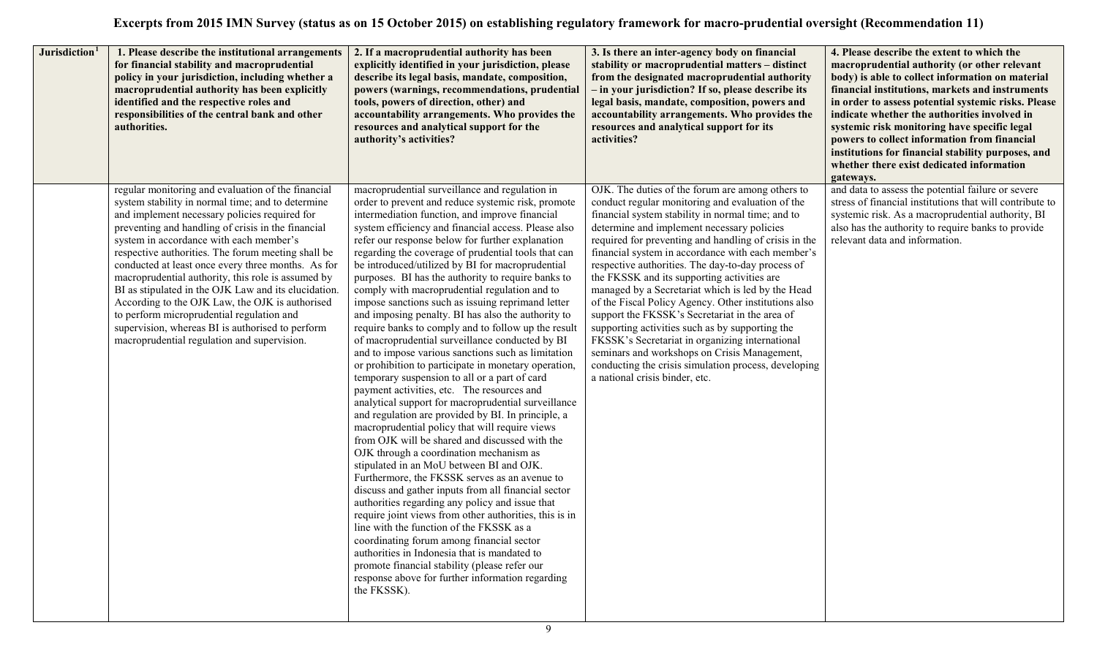| Jurisdiction <sup>1</sup> | 1. Please describe the institutional arrangements<br>for financial stability and macroprudential<br>policy in your jurisdiction, including whether a<br>macroprudential authority has been explicitly<br>identified and the respective roles and<br>responsibilities of the central bank and other<br>authorities.                                                                                                                                                                                                                                                                                                                                                                     | 2. If a macroprudential authority has been<br>explicitly identified in your jurisdiction, please<br>describe its legal basis, mandate, composition,<br>powers (warnings, recommendations, prudential<br>tools, powers of direction, other) and<br>accountability arrangements. Who provides the<br>resources and analytical support for the<br>authority's activities?                                                                                                                                                                                                                                                                                                                                                                                                                                                                                                                                                                                                                                                                                                                                                                                                                                                                                                                                                                                                                                                                                                                                                                                                                                                                                                                                          | 3. Is there an inter-agency body on financial<br>stability or macroprudential matters - distinct<br>from the designated macroprudential authority<br>- in your jurisdiction? If so, please describe its<br>legal basis, mandate, composition, powers and<br>accountability arrangements. Who provides the<br>resources and analytical support for its<br>activities?                                                                                                                                                                                                                                                                                                                                                                                                                                                                     | 4. Please describe the extent to which the<br>macroprudential authority (or other relevant<br>body) is able to collect information on material<br>financial institutions, markets and instruments<br>in order to assess potential systemic risks. Please<br>indicate whether the authorities involved in<br>systemic risk monitoring have specific legal<br>powers to collect information from financial<br>institutions for financial stability purposes, and<br>whether there exist dedicated information<br>gateways. |
|---------------------------|----------------------------------------------------------------------------------------------------------------------------------------------------------------------------------------------------------------------------------------------------------------------------------------------------------------------------------------------------------------------------------------------------------------------------------------------------------------------------------------------------------------------------------------------------------------------------------------------------------------------------------------------------------------------------------------|-----------------------------------------------------------------------------------------------------------------------------------------------------------------------------------------------------------------------------------------------------------------------------------------------------------------------------------------------------------------------------------------------------------------------------------------------------------------------------------------------------------------------------------------------------------------------------------------------------------------------------------------------------------------------------------------------------------------------------------------------------------------------------------------------------------------------------------------------------------------------------------------------------------------------------------------------------------------------------------------------------------------------------------------------------------------------------------------------------------------------------------------------------------------------------------------------------------------------------------------------------------------------------------------------------------------------------------------------------------------------------------------------------------------------------------------------------------------------------------------------------------------------------------------------------------------------------------------------------------------------------------------------------------------------------------------------------------------|------------------------------------------------------------------------------------------------------------------------------------------------------------------------------------------------------------------------------------------------------------------------------------------------------------------------------------------------------------------------------------------------------------------------------------------------------------------------------------------------------------------------------------------------------------------------------------------------------------------------------------------------------------------------------------------------------------------------------------------------------------------------------------------------------------------------------------------|--------------------------------------------------------------------------------------------------------------------------------------------------------------------------------------------------------------------------------------------------------------------------------------------------------------------------------------------------------------------------------------------------------------------------------------------------------------------------------------------------------------------------|
|                           | regular monitoring and evaluation of the financial<br>system stability in normal time; and to determine<br>and implement necessary policies required for<br>preventing and handling of crisis in the financial<br>system in accordance with each member's<br>respective authorities. The forum meeting shall be<br>conducted at least once every three months. As for<br>macroprudential authority, this role is assumed by<br>BI as stipulated in the OJK Law and its elucidation.<br>According to the OJK Law, the OJK is authorised<br>to perform microprudential regulation and<br>supervision, whereas BI is authorised to perform<br>macroprudential regulation and supervision. | macroprudential surveillance and regulation in<br>order to prevent and reduce systemic risk, promote<br>intermediation function, and improve financial<br>system efficiency and financial access. Please also<br>refer our response below for further explanation<br>regarding the coverage of prudential tools that can<br>be introduced/utilized by BI for macroprudential<br>purposes. BI has the authority to require banks to<br>comply with macroprudential regulation and to<br>impose sanctions such as issuing reprimand letter<br>and imposing penalty. BI has also the authority to<br>require banks to comply and to follow up the result<br>of macroprudential surveillance conducted by BI<br>and to impose various sanctions such as limitation<br>or prohibition to participate in monetary operation,<br>temporary suspension to all or a part of card<br>payment activities, etc. The resources and<br>analytical support for macroprudential surveillance<br>and regulation are provided by BI. In principle, a<br>macroprudential policy that will require views<br>from OJK will be shared and discussed with the<br>OJK through a coordination mechanism as<br>stipulated in an MoU between BI and OJK.<br>Furthermore, the FKSSK serves as an avenue to<br>discuss and gather inputs from all financial sector<br>authorities regarding any policy and issue that<br>require joint views from other authorities, this is in<br>line with the function of the FKSSK as a<br>coordinating forum among financial sector<br>authorities in Indonesia that is mandated to<br>promote financial stability (please refer our<br>response above for further information regarding<br>the FKSSK). | OJK. The duties of the forum are among others to<br>conduct regular monitoring and evaluation of the<br>financial system stability in normal time; and to<br>determine and implement necessary policies<br>required for preventing and handling of crisis in the<br>financial system in accordance with each member's<br>respective authorities. The day-to-day process of<br>the FKSSK and its supporting activities are<br>managed by a Secretariat which is led by the Head<br>of the Fiscal Policy Agency. Other institutions also<br>support the FKSSK's Secretariat in the area of<br>supporting activities such as by supporting the<br>FKSSK's Secretariat in organizing international<br>seminars and workshops on Crisis Management,<br>conducting the crisis simulation process, developing<br>a national crisis binder, etc. | and data to assess the potential failure or severe<br>stress of financial institutions that will contribute to<br>systemic risk. As a macroprudential authority, BI<br>also has the authority to require banks to provide<br>relevant data and information.                                                                                                                                                                                                                                                              |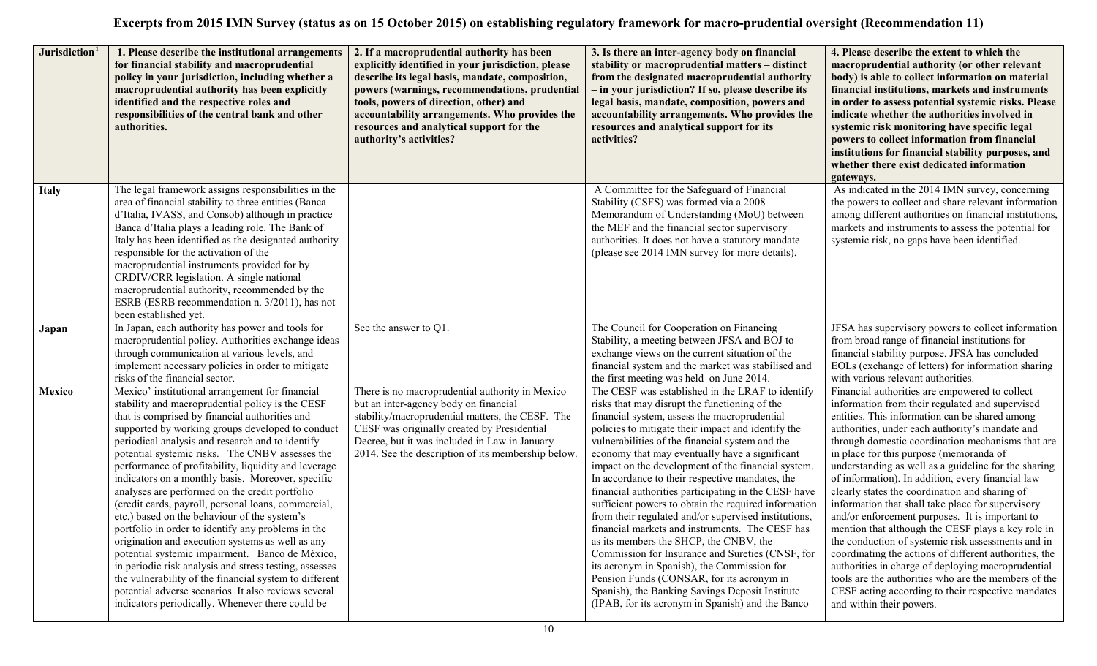| Jurisdiction <sup>1</sup> | 1. Please describe the institutional arrangements<br>for financial stability and macroprudential<br>policy in your jurisdiction, including whether a<br>macroprudential authority has been explicitly<br>identified and the respective roles and<br>responsibilities of the central bank and other<br>authorities.                                                                                                                                                                                                                                                                                                                                                                                                                                                                                                                                                                                                                                                                  | 2. If a macroprudential authority has been<br>explicitly identified in your jurisdiction, please<br>describe its legal basis, mandate, composition,<br>powers (warnings, recommendations, prudential<br>tools, powers of direction, other) and<br>accountability arrangements. Who provides the<br>resources and analytical support for the<br>authority's activities? | 3. Is there an inter-agency body on financial<br>stability or macroprudential matters - distinct<br>from the designated macroprudential authority<br>- in your jurisdiction? If so, please describe its<br>legal basis, mandate, composition, powers and<br>accountability arrangements. Who provides the<br>resources and analytical support for its<br>activities?                                                                                                                                                                                                                                                                                                                                                                                                                                                                                                                                                                              | 4. Please describe the extent to which the<br>macroprudential authority (or other relevant<br>body) is able to collect information on material<br>financial institutions, markets and instruments<br>in order to assess potential systemic risks. Please<br>indicate whether the authorities involved in<br>systemic risk monitoring have specific legal<br>powers to collect information from financial<br>institutions for financial stability purposes, and<br>whether there exist dedicated information<br>gateways.                                                                                                                                                                                                                                                                                                                                                                                                                            |
|---------------------------|-------------------------------------------------------------------------------------------------------------------------------------------------------------------------------------------------------------------------------------------------------------------------------------------------------------------------------------------------------------------------------------------------------------------------------------------------------------------------------------------------------------------------------------------------------------------------------------------------------------------------------------------------------------------------------------------------------------------------------------------------------------------------------------------------------------------------------------------------------------------------------------------------------------------------------------------------------------------------------------|------------------------------------------------------------------------------------------------------------------------------------------------------------------------------------------------------------------------------------------------------------------------------------------------------------------------------------------------------------------------|---------------------------------------------------------------------------------------------------------------------------------------------------------------------------------------------------------------------------------------------------------------------------------------------------------------------------------------------------------------------------------------------------------------------------------------------------------------------------------------------------------------------------------------------------------------------------------------------------------------------------------------------------------------------------------------------------------------------------------------------------------------------------------------------------------------------------------------------------------------------------------------------------------------------------------------------------|-----------------------------------------------------------------------------------------------------------------------------------------------------------------------------------------------------------------------------------------------------------------------------------------------------------------------------------------------------------------------------------------------------------------------------------------------------------------------------------------------------------------------------------------------------------------------------------------------------------------------------------------------------------------------------------------------------------------------------------------------------------------------------------------------------------------------------------------------------------------------------------------------------------------------------------------------------|
| <b>Italy</b>              | The legal framework assigns responsibilities in the<br>area of financial stability to three entities (Banca<br>d'Italia, IVASS, and Consob) although in practice<br>Banca d'Italia plays a leading role. The Bank of<br>Italy has been identified as the designated authority<br>responsible for the activation of the<br>macroprudential instruments provided for by<br>CRDIV/CRR legislation. A single national<br>macroprudential authority, recommended by the<br>ESRB (ESRB recommendation n. 3/2011), has not<br>been established yet.                                                                                                                                                                                                                                                                                                                                                                                                                                        |                                                                                                                                                                                                                                                                                                                                                                        | A Committee for the Safeguard of Financial<br>Stability (CSFS) was formed via a 2008<br>Memorandum of Understanding (MoU) between<br>the MEF and the financial sector supervisory<br>authorities. It does not have a statutory mandate<br>(please see 2014 IMN survey for more details).                                                                                                                                                                                                                                                                                                                                                                                                                                                                                                                                                                                                                                                          | As indicated in the 2014 IMN survey, concerning<br>the powers to collect and share relevant information<br>among different authorities on financial institutions,<br>markets and instruments to assess the potential for<br>systemic risk, no gaps have been identified.                                                                                                                                                                                                                                                                                                                                                                                                                                                                                                                                                                                                                                                                            |
| Japan                     | In Japan, each authority has power and tools for<br>macroprudential policy. Authorities exchange ideas<br>through communication at various levels, and<br>implement necessary policies in order to mitigate<br>risks of the financial sector.                                                                                                                                                                                                                                                                                                                                                                                                                                                                                                                                                                                                                                                                                                                                       | See the answer to Q1.                                                                                                                                                                                                                                                                                                                                                  | The Council for Cooperation on Financing<br>Stability, a meeting between JFSA and BOJ to<br>exchange views on the current situation of the<br>financial system and the market was stabilised and<br>the first meeting was held on June 2014.                                                                                                                                                                                                                                                                                                                                                                                                                                                                                                                                                                                                                                                                                                      | JFSA has supervisory powers to collect information<br>from broad range of financial institutions for<br>financial stability purpose. JFSA has concluded<br>EOLs (exchange of letters) for information sharing<br>with various relevant authorities.                                                                                                                                                                                                                                                                                                                                                                                                                                                                                                                                                                                                                                                                                                 |
| Mexico                    | Mexico' institutional arrangement for financial<br>stability and macroprudential policy is the CESF<br>that is comprised by financial authorities and<br>supported by working groups developed to conduct<br>periodical analysis and research and to identify<br>potential systemic risks. The CNBV assesses the<br>performance of profitability, liquidity and leverage<br>indicators on a monthly basis. Moreover, specific<br>analyses are performed on the credit portfolio<br>(credit cards, payroll, personal loans, commercial,<br>etc.) based on the behaviour of the system's<br>portfolio in order to identify any problems in the<br>origination and execution systems as well as any<br>potential systemic impairment. Banco de México,<br>in periodic risk analysis and stress testing, assesses<br>the vulnerability of the financial system to different<br>potential adverse scenarios. It also reviews several<br>indicators periodically. Whenever there could be | There is no macroprudential authority in Mexico<br>but an inter-agency body on financial<br>stability/macroprudential matters, the CESF. The<br>CESF was originally created by Presidential<br>Decree, but it was included in Law in January<br>2014. See the description of its membership below.                                                                     | The CESF was established in the LRAF to identify<br>risks that may disrupt the functioning of the<br>financial system, assess the macroprudential<br>policies to mitigate their impact and identify the<br>vulnerabilities of the financial system and the<br>economy that may eventually have a significant<br>impact on the development of the financial system.<br>In accordance to their respective mandates, the<br>financial authorities participating in the CESF have<br>sufficient powers to obtain the required information<br>from their regulated and/or supervised institutions,<br>financial markets and instruments. The CESF has<br>as its members the SHCP, the CNBV, the<br>Commission for Insurance and Sureties (CNSF, for<br>its acronym in Spanish), the Commission for<br>Pension Funds (CONSAR, for its acronym in<br>Spanish), the Banking Savings Deposit Institute<br>(IPAB, for its acronym in Spanish) and the Banco | Financial authorities are empowered to collect<br>information from their regulated and supervised<br>entities. This information can be shared among<br>authorities, under each authority's mandate and<br>through domestic coordination mechanisms that are<br>in place for this purpose (memoranda of<br>understanding as well as a guideline for the sharing<br>of information). In addition, every financial law<br>clearly states the coordination and sharing of<br>information that shall take place for supervisory<br>and/or enforcement purposes. It is important to<br>mention that although the CESF plays a key role in<br>the conduction of systemic risk assessments and in<br>coordinating the actions of different authorities, the<br>authorities in charge of deploying macroprudential<br>tools are the authorities who are the members of the<br>CESF acting according to their respective mandates<br>and within their powers. |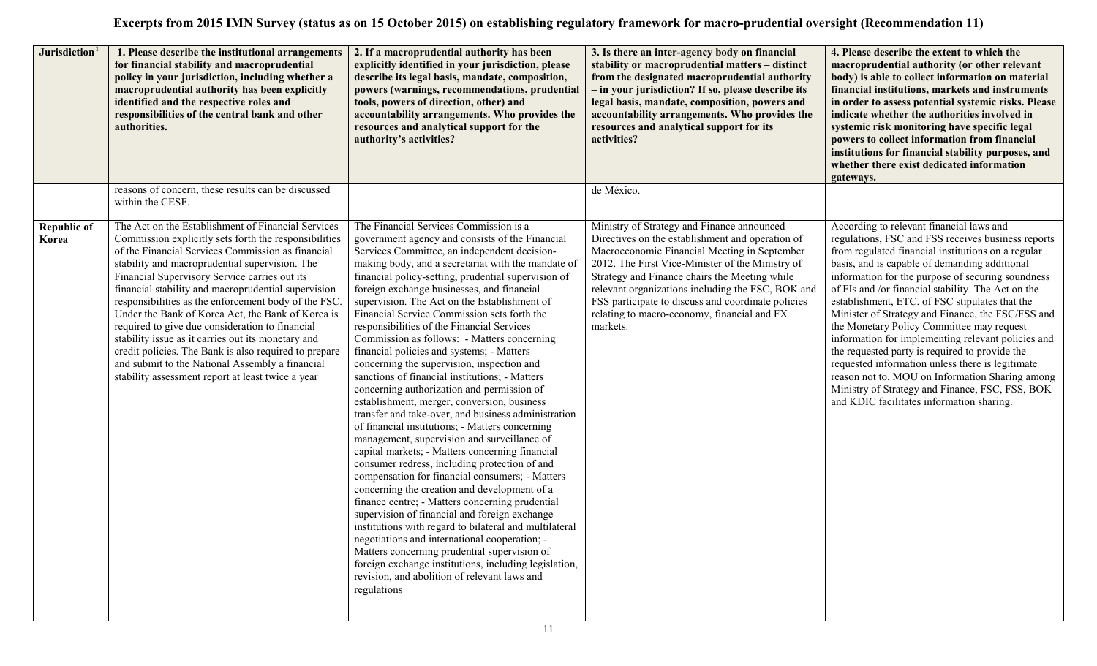| Jurisdiction <sup>1</sup>   | 1. Please describe the institutional arrangements<br>for financial stability and macroprudential<br>policy in your jurisdiction, including whether a<br>macroprudential authority has been explicitly<br>identified and the respective roles and<br>responsibilities of the central bank and other<br>authorities.                                                                                                                                                                                                                                                                                                                                                                                                | 2. If a macroprudential authority has been<br>explicitly identified in your jurisdiction, please<br>describe its legal basis, mandate, composition,<br>powers (warnings, recommendations, prudential<br>tools, powers of direction, other) and<br>accountability arrangements. Who provides the<br>resources and analytical support for the<br>authority's activities?                                                                                                                                                                                                                                                                                                                                                                                                                                                                                                                                                                                                                                                                                                                                                                                                                                                                                                                                                                                                                                                                                                                            | 3. Is there an inter-agency body on financial<br>stability or macroprudential matters - distinct<br>from the designated macroprudential authority<br>- in your jurisdiction? If so, please describe its<br>legal basis, mandate, composition, powers and<br>accountability arrangements. Who provides the<br>resources and analytical support for its<br>activities?                                                      | 4. Please describe the extent to which the<br>macroprudential authority (or other relevant<br>body) is able to collect information on material<br>financial institutions, markets and instruments<br>in order to assess potential systemic risks. Please<br>indicate whether the authorities involved in<br>systemic risk monitoring have specific legal<br>powers to collect information from financial<br>institutions for financial stability purposes, and<br>whether there exist dedicated information<br>gateways.                                                                                                                                                                                                                                                            |
|-----------------------------|-------------------------------------------------------------------------------------------------------------------------------------------------------------------------------------------------------------------------------------------------------------------------------------------------------------------------------------------------------------------------------------------------------------------------------------------------------------------------------------------------------------------------------------------------------------------------------------------------------------------------------------------------------------------------------------------------------------------|---------------------------------------------------------------------------------------------------------------------------------------------------------------------------------------------------------------------------------------------------------------------------------------------------------------------------------------------------------------------------------------------------------------------------------------------------------------------------------------------------------------------------------------------------------------------------------------------------------------------------------------------------------------------------------------------------------------------------------------------------------------------------------------------------------------------------------------------------------------------------------------------------------------------------------------------------------------------------------------------------------------------------------------------------------------------------------------------------------------------------------------------------------------------------------------------------------------------------------------------------------------------------------------------------------------------------------------------------------------------------------------------------------------------------------------------------------------------------------------------------|---------------------------------------------------------------------------------------------------------------------------------------------------------------------------------------------------------------------------------------------------------------------------------------------------------------------------------------------------------------------------------------------------------------------------|-------------------------------------------------------------------------------------------------------------------------------------------------------------------------------------------------------------------------------------------------------------------------------------------------------------------------------------------------------------------------------------------------------------------------------------------------------------------------------------------------------------------------------------------------------------------------------------------------------------------------------------------------------------------------------------------------------------------------------------------------------------------------------------|
|                             | reasons of concern, these results can be discussed<br>within the CESF.                                                                                                                                                                                                                                                                                                                                                                                                                                                                                                                                                                                                                                            |                                                                                                                                                                                                                                                                                                                                                                                                                                                                                                                                                                                                                                                                                                                                                                                                                                                                                                                                                                                                                                                                                                                                                                                                                                                                                                                                                                                                                                                                                                   | de México.                                                                                                                                                                                                                                                                                                                                                                                                                |                                                                                                                                                                                                                                                                                                                                                                                                                                                                                                                                                                                                                                                                                                                                                                                     |
| <b>Republic of</b><br>Korea | The Act on the Establishment of Financial Services<br>Commission explicitly sets forth the responsibilities<br>of the Financial Services Commission as financial<br>stability and macroprudential supervision. The<br>Financial Supervisory Service carries out its<br>financial stability and macroprudential supervision<br>responsibilities as the enforcement body of the FSC.<br>Under the Bank of Korea Act, the Bank of Korea is<br>required to give due consideration to financial<br>stability issue as it carries out its monetary and<br>credit policies. The Bank is also required to prepare<br>and submit to the National Assembly a financial<br>stability assessment report at least twice a year | The Financial Services Commission is a<br>government agency and consists of the Financial<br>Services Committee, an independent decision-<br>making body, and a secretariat with the mandate of<br>financial policy-setting, prudential supervision of<br>foreign exchange businesses, and financial<br>supervision. The Act on the Establishment of<br>Financial Service Commission sets forth the<br>responsibilities of the Financial Services<br>Commission as follows: - Matters concerning<br>financial policies and systems; - Matters<br>concerning the supervision, inspection and<br>sanctions of financial institutions; - Matters<br>concerning authorization and permission of<br>establishment, merger, conversion, business<br>transfer and take-over, and business administration<br>of financial institutions; - Matters concerning<br>management, supervision and surveillance of<br>capital markets; - Matters concerning financial<br>consumer redress, including protection of and<br>compensation for financial consumers; - Matters<br>concerning the creation and development of a<br>finance centre; - Matters concerning prudential<br>supervision of financial and foreign exchange<br>institutions with regard to bilateral and multilateral<br>negotiations and international cooperation; -<br>Matters concerning prudential supervision of<br>foreign exchange institutions, including legislation,<br>revision, and abolition of relevant laws and<br>regulations | Ministry of Strategy and Finance announced<br>Directives on the establishment and operation of<br>Macroeconomic Financial Meeting in September<br>2012. The First Vice-Minister of the Ministry of<br>Strategy and Finance chairs the Meeting while<br>relevant organizations including the FSC, BOK and<br>FSS participate to discuss and coordinate policies<br>relating to macro-economy, financial and FX<br>markets. | According to relevant financial laws and<br>regulations, FSC and FSS receives business reports<br>from regulated financial institutions on a regular<br>basis, and is capable of demanding additional<br>information for the purpose of securing soundness<br>of FIs and /or financial stability. The Act on the<br>establishment, ETC. of FSC stipulates that the<br>Minister of Strategy and Finance, the FSC/FSS and<br>the Monetary Policy Committee may request<br>information for implementing relevant policies and<br>the requested party is required to provide the<br>requested information unless there is legitimate<br>reason not to. MOU on Information Sharing among<br>Ministry of Strategy and Finance, FSC, FSS, BOK<br>and KDIC facilitates information sharing. |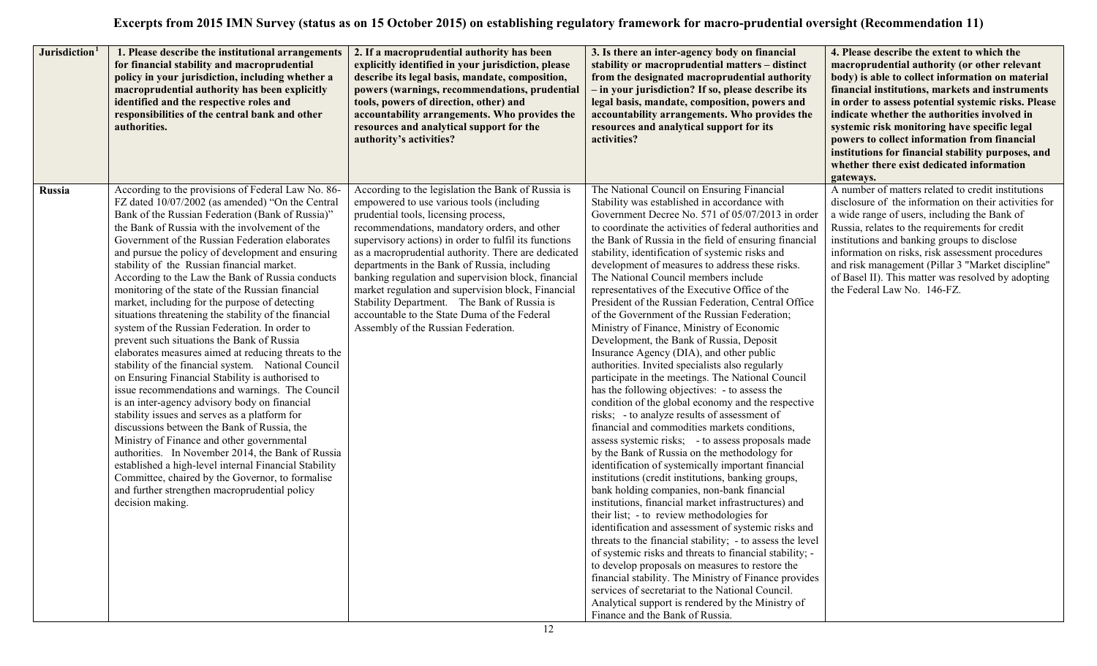| Jurisdiction <sup>1</sup> | 1. Please describe the institutional arrangements<br>for financial stability and macroprudential<br>policy in your jurisdiction, including whether a<br>macroprudential authority has been explicitly<br>identified and the respective roles and<br>responsibilities of the central bank and other<br>authorities.                                                                                                                                                                                                                                                                                                                                                                                                                                                                                                                                                                                                                                                                                                                                                                                                                                                                                                                                                                                                                               | 2. If a macroprudential authority has been<br>explicitly identified in your jurisdiction, please<br>describe its legal basis, mandate, composition,<br>powers (warnings, recommendations, prudential<br>tools, powers of direction, other) and<br>accountability arrangements. Who provides the<br>resources and analytical support for the<br>authority's activities?                                                                                                                                                                                                                                     | 3. Is there an inter-agency body on financial<br>stability or macroprudential matters - distinct<br>from the designated macroprudential authority<br>- in your jurisdiction? If so, please describe its<br>legal basis, mandate, composition, powers and<br>accountability arrangements. Who provides the<br>resources and analytical support for its<br>activities?                                                                                                                                                                                                                                                                                                                                                                                                                                                                                                                                                                                                                                                                                                                                                                                                                                                                                                                                                                                                                                                                                                                                                                                                                                                                                                                                                                                                                                                                     | 4. Please describe the extent to which the<br>macroprudential authority (or other relevant<br>body) is able to collect information on material<br>financial institutions, markets and instruments<br>in order to assess potential systemic risks. Please<br>indicate whether the authorities involved in<br>systemic risk monitoring have specific legal<br>powers to collect information from financial<br>institutions for financial stability purposes, and<br>whether there exist dedicated information<br>gateways. |
|---------------------------|--------------------------------------------------------------------------------------------------------------------------------------------------------------------------------------------------------------------------------------------------------------------------------------------------------------------------------------------------------------------------------------------------------------------------------------------------------------------------------------------------------------------------------------------------------------------------------------------------------------------------------------------------------------------------------------------------------------------------------------------------------------------------------------------------------------------------------------------------------------------------------------------------------------------------------------------------------------------------------------------------------------------------------------------------------------------------------------------------------------------------------------------------------------------------------------------------------------------------------------------------------------------------------------------------------------------------------------------------|------------------------------------------------------------------------------------------------------------------------------------------------------------------------------------------------------------------------------------------------------------------------------------------------------------------------------------------------------------------------------------------------------------------------------------------------------------------------------------------------------------------------------------------------------------------------------------------------------------|------------------------------------------------------------------------------------------------------------------------------------------------------------------------------------------------------------------------------------------------------------------------------------------------------------------------------------------------------------------------------------------------------------------------------------------------------------------------------------------------------------------------------------------------------------------------------------------------------------------------------------------------------------------------------------------------------------------------------------------------------------------------------------------------------------------------------------------------------------------------------------------------------------------------------------------------------------------------------------------------------------------------------------------------------------------------------------------------------------------------------------------------------------------------------------------------------------------------------------------------------------------------------------------------------------------------------------------------------------------------------------------------------------------------------------------------------------------------------------------------------------------------------------------------------------------------------------------------------------------------------------------------------------------------------------------------------------------------------------------------------------------------------------------------------------------------------------------|--------------------------------------------------------------------------------------------------------------------------------------------------------------------------------------------------------------------------------------------------------------------------------------------------------------------------------------------------------------------------------------------------------------------------------------------------------------------------------------------------------------------------|
| Russia                    | According to the provisions of Federal Law No. 86-<br>FZ dated 10/07/2002 (as amended) "On the Central<br>Bank of the Russian Federation (Bank of Russia)"<br>the Bank of Russia with the involvement of the<br>Government of the Russian Federation elaborates<br>and pursue the policy of development and ensuring<br>stability of the Russian financial market.<br>According to the Law the Bank of Russia conducts<br>monitoring of the state of the Russian financial<br>market, including for the purpose of detecting<br>situations threatening the stability of the financial<br>system of the Russian Federation. In order to<br>prevent such situations the Bank of Russia<br>elaborates measures aimed at reducing threats to the<br>stability of the financial system. National Council<br>on Ensuring Financial Stability is authorised to<br>issue recommendations and warnings. The Council<br>is an inter-agency advisory body on financial<br>stability issues and serves as a platform for<br>discussions between the Bank of Russia, the<br>Ministry of Finance and other governmental<br>authorities. In November 2014, the Bank of Russia<br>established a high-level internal Financial Stability<br>Committee, chaired by the Governor, to formalise<br>and further strengthen macroprudential policy<br>decision making. | According to the legislation the Bank of Russia is<br>empowered to use various tools (including<br>prudential tools, licensing process,<br>recommendations, mandatory orders, and other<br>supervisory actions) in order to fulfil its functions<br>as a macroprudential authority. There are dedicated<br>departments in the Bank of Russia, including<br>banking regulation and supervision block, financial<br>market regulation and supervision block, Financial<br>Stability Department. The Bank of Russia is<br>accountable to the State Duma of the Federal<br>Assembly of the Russian Federation. | The National Council on Ensuring Financial<br>Stability was established in accordance with<br>Government Decree No. 571 of 05/07/2013 in order<br>to coordinate the activities of federal authorities and<br>the Bank of Russia in the field of ensuring financial<br>stability, identification of systemic risks and<br>development of measures to address these risks.<br>The National Council members include<br>representatives of the Executive Office of the<br>President of the Russian Federation, Central Office<br>of the Government of the Russian Federation;<br>Ministry of Finance, Ministry of Economic<br>Development, the Bank of Russia, Deposit<br>Insurance Agency (DIA), and other public<br>authorities. Invited specialists also regularly<br>participate in the meetings. The National Council<br>has the following objectives: - to assess the<br>condition of the global economy and the respective<br>risks; - to analyze results of assessment of<br>financial and commodities markets conditions,<br>assess systemic risks; - to assess proposals made<br>by the Bank of Russia on the methodology for<br>identification of systemically important financial<br>institutions (credit institutions, banking groups,<br>bank holding companies, non-bank financial<br>institutions, financial market infrastructures) and<br>their list; - to review methodologies for<br>identification and assessment of systemic risks and<br>threats to the financial stability; - to assess the level<br>of systemic risks and threats to financial stability; -<br>to develop proposals on measures to restore the<br>financial stability. The Ministry of Finance provides<br>services of secretariat to the National Council.<br>Analytical support is rendered by the Ministry of<br>Finance and the Bank of Russia. | A number of matters related to credit institutions<br>disclosure of the information on their activities for<br>a wide range of users, including the Bank of<br>Russia, relates to the requirements for credit<br>institutions and banking groups to disclose<br>information on risks, risk assessment procedures<br>and risk management (Pillar 3 "Market discipline"<br>of Basel II). This matter was resolved by adopting<br>the Federal Law No. 146-FZ.                                                               |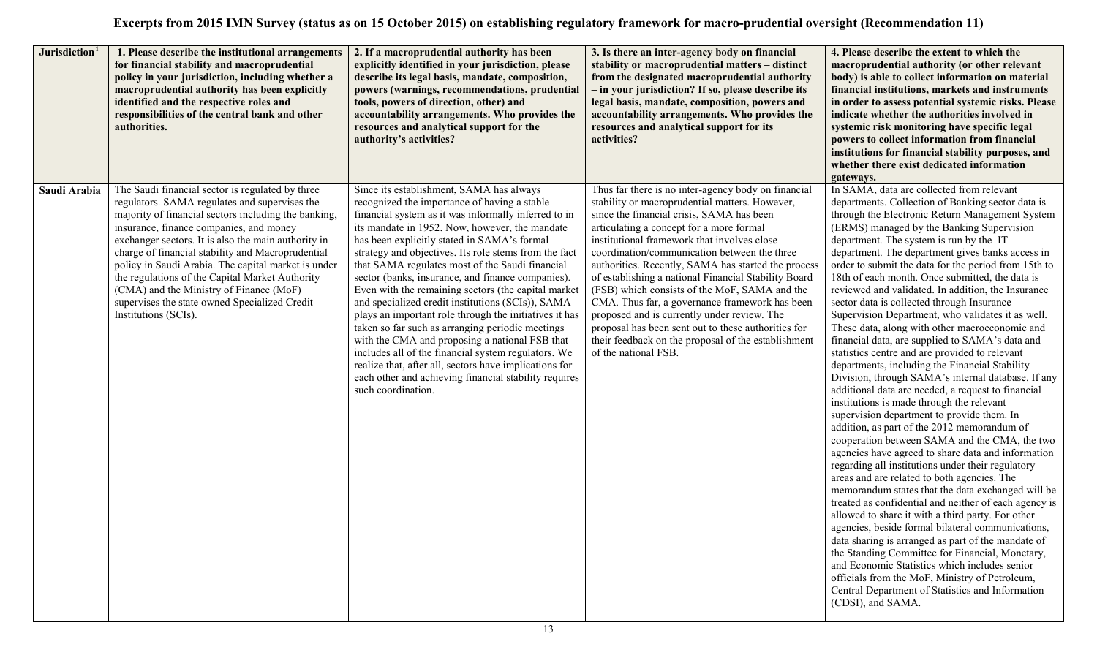| Jurisdiction <sup>1</sup> | 1. Please describe the institutional arrangements<br>for financial stability and macroprudential<br>policy in your jurisdiction, including whether a<br>macroprudential authority has been explicitly<br>identified and the respective roles and<br>responsibilities of the central bank and other<br>authorities.                                                                                                                                                                                                                             | 2. If a macroprudential authority has been<br>explicitly identified in your jurisdiction, please<br>describe its legal basis, mandate, composition,<br>powers (warnings, recommendations, prudential<br>tools, powers of direction, other) and<br>accountability arrangements. Who provides the<br>resources and analytical support for the<br>authority's activities?                                                                                                                                                                                                                                                                                                                                                                                                                                                                                                                         | 3. Is there an inter-agency body on financial<br>stability or macroprudential matters - distinct<br>from the designated macroprudential authority<br>- in your jurisdiction? If so, please describe its<br>legal basis, mandate, composition, powers and<br>accountability arrangements. Who provides the<br>resources and analytical support for its<br>activities?                                                                                                                                                                                                                                                                                                                                 | 4. Please describe the extent to which the<br>macroprudential authority (or other relevant<br>body) is able to collect information on material<br>financial institutions, markets and instruments<br>in order to assess potential systemic risks. Please<br>indicate whether the authorities involved in<br>systemic risk monitoring have specific legal<br>powers to collect information from financial<br>institutions for financial stability purposes, and<br>whether there exist dedicated information<br>gateways.                                                                                                                                                                                                                                                                                                                                                                                                                                                                                                                                                                                                                                                                                                                                                                                                                                                                                                                                                                                                                                                                                                                                                                                                                                 |
|---------------------------|------------------------------------------------------------------------------------------------------------------------------------------------------------------------------------------------------------------------------------------------------------------------------------------------------------------------------------------------------------------------------------------------------------------------------------------------------------------------------------------------------------------------------------------------|------------------------------------------------------------------------------------------------------------------------------------------------------------------------------------------------------------------------------------------------------------------------------------------------------------------------------------------------------------------------------------------------------------------------------------------------------------------------------------------------------------------------------------------------------------------------------------------------------------------------------------------------------------------------------------------------------------------------------------------------------------------------------------------------------------------------------------------------------------------------------------------------|------------------------------------------------------------------------------------------------------------------------------------------------------------------------------------------------------------------------------------------------------------------------------------------------------------------------------------------------------------------------------------------------------------------------------------------------------------------------------------------------------------------------------------------------------------------------------------------------------------------------------------------------------------------------------------------------------|----------------------------------------------------------------------------------------------------------------------------------------------------------------------------------------------------------------------------------------------------------------------------------------------------------------------------------------------------------------------------------------------------------------------------------------------------------------------------------------------------------------------------------------------------------------------------------------------------------------------------------------------------------------------------------------------------------------------------------------------------------------------------------------------------------------------------------------------------------------------------------------------------------------------------------------------------------------------------------------------------------------------------------------------------------------------------------------------------------------------------------------------------------------------------------------------------------------------------------------------------------------------------------------------------------------------------------------------------------------------------------------------------------------------------------------------------------------------------------------------------------------------------------------------------------------------------------------------------------------------------------------------------------------------------------------------------------------------------------------------------------|
| Saudi Arabia              | The Saudi financial sector is regulated by three<br>regulators. SAMA regulates and supervises the<br>majority of financial sectors including the banking,<br>insurance, finance companies, and money<br>exchanger sectors. It is also the main authority in<br>charge of financial stability and Macroprudential<br>policy in Saudi Arabia. The capital market is under<br>the regulations of the Capital Market Authority<br>(CMA) and the Ministry of Finance (MoF)<br>supervises the state owned Specialized Credit<br>Institutions (SCIs). | Since its establishment, SAMA has always<br>recognized the importance of having a stable<br>financial system as it was informally inferred to in<br>its mandate in 1952. Now, however, the mandate<br>has been explicitly stated in SAMA's formal<br>strategy and objectives. Its role stems from the fact<br>that SAMA regulates most of the Saudi financial<br>sector (banks, insurance, and finance companies).<br>Even with the remaining sectors (the capital market<br>and specialized credit institutions (SCIs)), SAMA<br>plays an important role through the initiatives it has<br>taken so far such as arranging periodic meetings<br>with the CMA and proposing a national FSB that<br>includes all of the financial system regulators. We<br>realize that, after all, sectors have implications for<br>each other and achieving financial stability requires<br>such coordination. | Thus far there is no inter-agency body on financial<br>stability or macroprudential matters. However,<br>since the financial crisis, SAMA has been<br>articulating a concept for a more formal<br>institutional framework that involves close<br>coordination/communication between the three<br>authorities. Recently, SAMA has started the process<br>of establishing a national Financial Stability Board<br>(FSB) which consists of the MoF, SAMA and the<br>CMA. Thus far, a governance framework has been<br>proposed and is currently under review. The<br>proposal has been sent out to these authorities for<br>their feedback on the proposal of the establishment<br>of the national FSB. | In SAMA, data are collected from relevant<br>departments. Collection of Banking sector data is<br>through the Electronic Return Management System<br>(ERMS) managed by the Banking Supervision<br>department. The system is run by the IT<br>department. The department gives banks access in<br>order to submit the data for the period from 15th to<br>18th of each month. Once submitted, the data is<br>reviewed and validated. In addition, the Insurance<br>sector data is collected through Insurance<br>Supervision Department, who validates it as well.<br>These data, along with other macroeconomic and<br>financial data, are supplied to SAMA's data and<br>statistics centre and are provided to relevant<br>departments, including the Financial Stability<br>Division, through SAMA's internal database. If any<br>additional data are needed, a request to financial<br>institutions is made through the relevant<br>supervision department to provide them. In<br>addition, as part of the 2012 memorandum of<br>cooperation between SAMA and the CMA, the two<br>agencies have agreed to share data and information<br>regarding all institutions under their regulatory<br>areas and are related to both agencies. The<br>memorandum states that the data exchanged will be<br>treated as confidential and neither of each agency is<br>allowed to share it with a third party. For other<br>agencies, beside formal bilateral communications,<br>data sharing is arranged as part of the mandate of<br>the Standing Committee for Financial, Monetary,<br>and Economic Statistics which includes senior<br>officials from the MoF, Ministry of Petroleum,<br>Central Department of Statistics and Information<br>(CDSI), and SAMA. |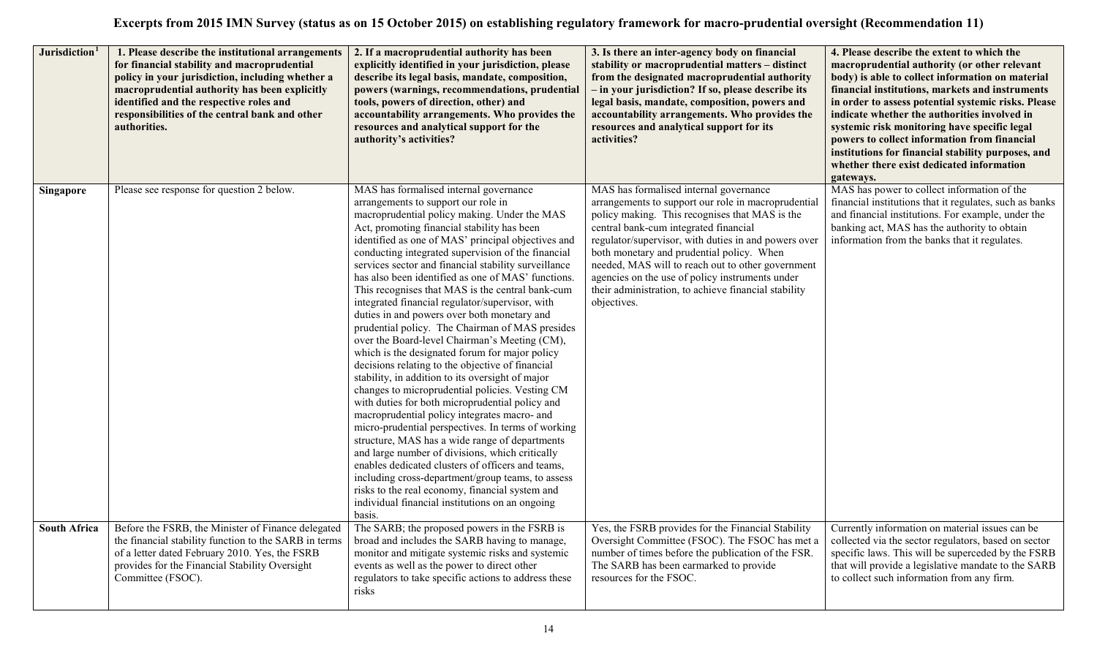| Jurisdiction <sup>1</sup> | 1. Please describe the institutional arrangements<br>for financial stability and macroprudential<br>policy in your jurisdiction, including whether a<br>macroprudential authority has been explicitly<br>identified and the respective roles and<br>responsibilities of the central bank and other<br>authorities. | 2. If a macroprudential authority has been<br>explicitly identified in your jurisdiction, please<br>describe its legal basis, mandate, composition,<br>powers (warnings, recommendations, prudential<br>tools, powers of direction, other) and<br>accountability arrangements. Who provides the<br>resources and analytical support for the<br>authority's activities?                                                                                                                                                                                                                                                                                                                                                                                                                                                                                                                                                                                                                                                                                                                                                                                                                                                                                                                                                                                                | 3. Is there an inter-agency body on financial<br>stability or macroprudential matters - distinct<br>from the designated macroprudential authority<br>- in your jurisdiction? If so, please describe its<br>legal basis, mandate, composition, powers and<br>accountability arrangements. Who provides the<br>resources and analytical support for its<br>activities?                                                                                                         | 4. Please describe the extent to which the<br>macroprudential authority (or other relevant<br>body) is able to collect information on material<br>financial institutions, markets and instruments<br>in order to assess potential systemic risks. Please<br>indicate whether the authorities involved in<br>systemic risk monitoring have specific legal<br>powers to collect information from financial<br>institutions for financial stability purposes, and<br>whether there exist dedicated information<br>gateways. |
|---------------------------|--------------------------------------------------------------------------------------------------------------------------------------------------------------------------------------------------------------------------------------------------------------------------------------------------------------------|-----------------------------------------------------------------------------------------------------------------------------------------------------------------------------------------------------------------------------------------------------------------------------------------------------------------------------------------------------------------------------------------------------------------------------------------------------------------------------------------------------------------------------------------------------------------------------------------------------------------------------------------------------------------------------------------------------------------------------------------------------------------------------------------------------------------------------------------------------------------------------------------------------------------------------------------------------------------------------------------------------------------------------------------------------------------------------------------------------------------------------------------------------------------------------------------------------------------------------------------------------------------------------------------------------------------------------------------------------------------------|------------------------------------------------------------------------------------------------------------------------------------------------------------------------------------------------------------------------------------------------------------------------------------------------------------------------------------------------------------------------------------------------------------------------------------------------------------------------------|--------------------------------------------------------------------------------------------------------------------------------------------------------------------------------------------------------------------------------------------------------------------------------------------------------------------------------------------------------------------------------------------------------------------------------------------------------------------------------------------------------------------------|
| <b>Singapore</b>          | Please see response for question 2 below.                                                                                                                                                                                                                                                                          | MAS has formalised internal governance<br>arrangements to support our role in<br>macroprudential policy making. Under the MAS<br>Act, promoting financial stability has been<br>identified as one of MAS' principal objectives and<br>conducting integrated supervision of the financial<br>services sector and financial stability surveillance<br>has also been identified as one of MAS' functions.<br>This recognises that MAS is the central bank-cum<br>integrated financial regulator/supervisor, with<br>duties in and powers over both monetary and<br>prudential policy. The Chairman of MAS presides<br>over the Board-level Chairman's Meeting (CM),<br>which is the designated forum for major policy<br>decisions relating to the objective of financial<br>stability, in addition to its oversight of major<br>changes to microprudential policies. Vesting CM<br>with duties for both microprudential policy and<br>macroprudential policy integrates macro- and<br>micro-prudential perspectives. In terms of working<br>structure, MAS has a wide range of departments<br>and large number of divisions, which critically<br>enables dedicated clusters of officers and teams,<br>including cross-department/group teams, to assess<br>risks to the real economy, financial system and<br>individual financial institutions on an ongoing<br>basis. | MAS has formalised internal governance<br>arrangements to support our role in macroprudential<br>policy making. This recognises that MAS is the<br>central bank-cum integrated financial<br>regulator/supervisor, with duties in and powers over<br>both monetary and prudential policy. When<br>needed, MAS will to reach out to other government<br>agencies on the use of policy instruments under<br>their administration, to achieve financial stability<br>objectives. | MAS has power to collect information of the<br>financial institutions that it regulates, such as banks<br>and financial institutions. For example, under the<br>banking act, MAS has the authority to obtain<br>information from the banks that it regulates.                                                                                                                                                                                                                                                            |
| <b>South Africa</b>       | Before the FSRB, the Minister of Finance delegated<br>the financial stability function to the SARB in terms<br>of a letter dated February 2010. Yes, the FSRB<br>provides for the Financial Stability Oversight<br>Committee (FSOC).                                                                               | The SARB; the proposed powers in the FSRB is<br>broad and includes the SARB having to manage,<br>monitor and mitigate systemic risks and systemic<br>events as well as the power to direct other<br>regulators to take specific actions to address these<br>risks                                                                                                                                                                                                                                                                                                                                                                                                                                                                                                                                                                                                                                                                                                                                                                                                                                                                                                                                                                                                                                                                                                     | Yes, the FSRB provides for the Financial Stability<br>Oversight Committee (FSOC). The FSOC has met a<br>number of times before the publication of the FSR.<br>The SARB has been earmarked to provide<br>resources for the FSOC.                                                                                                                                                                                                                                              | Currently information on material issues can be<br>collected via the sector regulators, based on sector<br>specific laws. This will be superceded by the FSRB<br>that will provide a legislative mandate to the SARB<br>to collect such information from any firm.                                                                                                                                                                                                                                                       |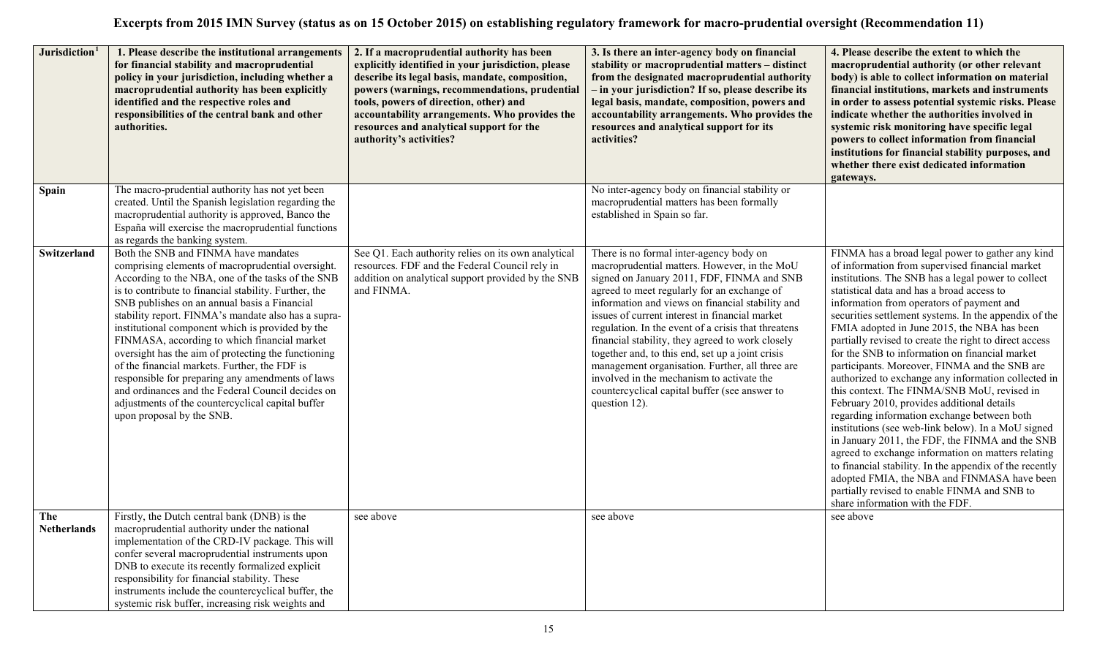| Jurisdiction <sup>1</sup> | 1. Please describe the institutional arrangements<br>for financial stability and macroprudential<br>policy in your jurisdiction, including whether a<br>macroprudential authority has been explicitly<br>identified and the respective roles and<br>responsibilities of the central bank and other<br>authorities.                                                                                                                                                                                                                                                                                                                                                                                                    | 2. If a macroprudential authority has been<br>explicitly identified in your jurisdiction, please<br>describe its legal basis, mandate, composition,<br>powers (warnings, recommendations, prudential<br>tools, powers of direction, other) and<br>accountability arrangements. Who provides the<br>resources and analytical support for the<br>authority's activities? | 3. Is there an inter-agency body on financial<br>stability or macroprudential matters - distinct<br>from the designated macroprudential authority<br>- in your jurisdiction? If so, please describe its<br>legal basis, mandate, composition, powers and<br>accountability arrangements. Who provides the<br>resources and analytical support for its<br>activities?                                                                                                                                                                                                                                                        | 4. Please describe the extent to which the<br>macroprudential authority (or other relevant<br>body) is able to collect information on material<br>financial institutions, markets and instruments<br>in order to assess potential systemic risks. Please<br>indicate whether the authorities involved in<br>systemic risk monitoring have specific legal<br>powers to collect information from financial<br>institutions for financial stability purposes, and<br>whether there exist dedicated information<br>gateways.                                                                                                                                                                                                                                                                                                                                                                                                                                                                                                                                                                 |
|---------------------------|-----------------------------------------------------------------------------------------------------------------------------------------------------------------------------------------------------------------------------------------------------------------------------------------------------------------------------------------------------------------------------------------------------------------------------------------------------------------------------------------------------------------------------------------------------------------------------------------------------------------------------------------------------------------------------------------------------------------------|------------------------------------------------------------------------------------------------------------------------------------------------------------------------------------------------------------------------------------------------------------------------------------------------------------------------------------------------------------------------|-----------------------------------------------------------------------------------------------------------------------------------------------------------------------------------------------------------------------------------------------------------------------------------------------------------------------------------------------------------------------------------------------------------------------------------------------------------------------------------------------------------------------------------------------------------------------------------------------------------------------------|------------------------------------------------------------------------------------------------------------------------------------------------------------------------------------------------------------------------------------------------------------------------------------------------------------------------------------------------------------------------------------------------------------------------------------------------------------------------------------------------------------------------------------------------------------------------------------------------------------------------------------------------------------------------------------------------------------------------------------------------------------------------------------------------------------------------------------------------------------------------------------------------------------------------------------------------------------------------------------------------------------------------------------------------------------------------------------------|
| <b>Spain</b>              | The macro-prudential authority has not yet been<br>created. Until the Spanish legislation regarding the<br>macroprudential authority is approved, Banco the<br>España will exercise the macroprudential functions<br>as regards the banking system.                                                                                                                                                                                                                                                                                                                                                                                                                                                                   |                                                                                                                                                                                                                                                                                                                                                                        | No inter-agency body on financial stability or<br>macroprudential matters has been formally<br>established in Spain so far.                                                                                                                                                                                                                                                                                                                                                                                                                                                                                                 |                                                                                                                                                                                                                                                                                                                                                                                                                                                                                                                                                                                                                                                                                                                                                                                                                                                                                                                                                                                                                                                                                          |
| Switzerland               | Both the SNB and FINMA have mandates<br>comprising elements of macroprudential oversight.<br>According to the NBA, one of the tasks of the SNB<br>is to contribute to financial stability. Further, the<br>SNB publishes on an annual basis a Financial<br>stability report. FINMA's mandate also has a supra-<br>institutional component which is provided by the<br>FINMASA, according to which financial market<br>oversight has the aim of protecting the functioning<br>of the financial markets. Further, the FDF is<br>responsible for preparing any amendments of laws<br>and ordinances and the Federal Council decides on<br>adjustments of the countercyclical capital buffer<br>upon proposal by the SNB. | See Q1. Each authority relies on its own analytical<br>resources. FDF and the Federal Council rely in<br>addition on analytical support provided by the SNB<br>and FINMA.                                                                                                                                                                                              | There is no formal inter-agency body on<br>macroprudential matters. However, in the MoU<br>signed on January 2011, FDF, FINMA and SNB<br>agreed to meet regularly for an exchange of<br>information and views on financial stability and<br>issues of current interest in financial market<br>regulation. In the event of a crisis that threatens<br>financial stability, they agreed to work closely<br>together and, to this end, set up a joint crisis<br>management organisation. Further, all three are<br>involved in the mechanism to activate the<br>countercyclical capital buffer (see answer to<br>question 12). | FINMA has a broad legal power to gather any kind<br>of information from supervised financial market<br>institutions. The SNB has a legal power to collect<br>statistical data and has a broad access to<br>information from operators of payment and<br>securities settlement systems. In the appendix of the<br>FMIA adopted in June 2015, the NBA has been<br>partially revised to create the right to direct access<br>for the SNB to information on financial market<br>participants. Moreover, FINMA and the SNB are<br>authorized to exchange any information collected in<br>this context. The FINMA/SNB MoU, revised in<br>February 2010, provides additional details<br>regarding information exchange between both<br>institutions (see web-link below). In a MoU signed<br>in January 2011, the FDF, the FINMA and the SNB<br>agreed to exchange information on matters relating<br>to financial stability. In the appendix of the recently<br>adopted FMIA, the NBA and FINMASA have been<br>partially revised to enable FINMA and SNB to<br>share information with the FDF. |
| The<br><b>Netherlands</b> | Firstly, the Dutch central bank (DNB) is the<br>macroprudential authority under the national<br>implementation of the CRD-IV package. This will<br>confer several macroprudential instruments upon<br>DNB to execute its recently formalized explicit<br>responsibility for financial stability. These<br>instruments include the countercyclical buffer, the<br>systemic risk buffer, increasing risk weights and                                                                                                                                                                                                                                                                                                    | see above                                                                                                                                                                                                                                                                                                                                                              | see above                                                                                                                                                                                                                                                                                                                                                                                                                                                                                                                                                                                                                   | see above                                                                                                                                                                                                                                                                                                                                                                                                                                                                                                                                                                                                                                                                                                                                                                                                                                                                                                                                                                                                                                                                                |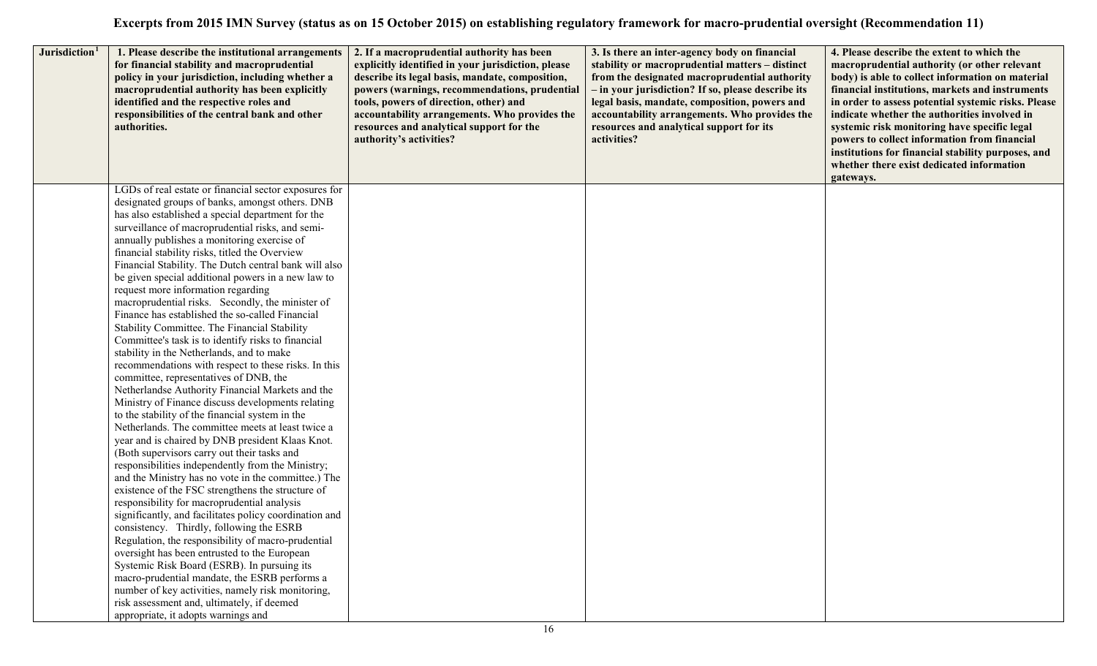| Jurisdiction <sup>1</sup> | 1. Please describe the institutional arrangements<br>for financial stability and macroprudential<br>policy in your jurisdiction, including whether a<br>macroprudential authority has been explicitly<br>identified and the respective roles and<br>responsibilities of the central bank and other<br>authorities. | 2. If a macroprudential authority has been<br>explicitly identified in your jurisdiction, please<br>describe its legal basis, mandate, composition,<br>powers (warnings, recommendations, prudential<br>tools, powers of direction, other) and<br>accountability arrangements. Who provides the<br>resources and analytical support for the<br>authority's activities? | 3. Is there an inter-agency body on financial<br>stability or macroprudential matters - distinct<br>from the designated macroprudential authority<br>- in your jurisdiction? If so, please describe its<br>legal basis, mandate, composition, powers and<br>accountability arrangements. Who provides the<br>resources and analytical support for its<br>activities? | 4. Please describe the extent to which the<br>macroprudential authority (or other relevant<br>body) is able to collect information on material<br>financial institutions, markets and instruments<br>in order to assess potential systemic risks. Please<br>indicate whether the authorities involved in<br>systemic risk monitoring have specific legal<br>powers to collect information from financial<br>institutions for financial stability purposes, and<br>whether there exist dedicated information<br>gateways. |
|---------------------------|--------------------------------------------------------------------------------------------------------------------------------------------------------------------------------------------------------------------------------------------------------------------------------------------------------------------|------------------------------------------------------------------------------------------------------------------------------------------------------------------------------------------------------------------------------------------------------------------------------------------------------------------------------------------------------------------------|----------------------------------------------------------------------------------------------------------------------------------------------------------------------------------------------------------------------------------------------------------------------------------------------------------------------------------------------------------------------|--------------------------------------------------------------------------------------------------------------------------------------------------------------------------------------------------------------------------------------------------------------------------------------------------------------------------------------------------------------------------------------------------------------------------------------------------------------------------------------------------------------------------|
|                           | LGDs of real estate or financial sector exposures for<br>designated groups of banks, amongst others. DNB                                                                                                                                                                                                           |                                                                                                                                                                                                                                                                                                                                                                        |                                                                                                                                                                                                                                                                                                                                                                      |                                                                                                                                                                                                                                                                                                                                                                                                                                                                                                                          |
|                           | has also established a special department for the                                                                                                                                                                                                                                                                  |                                                                                                                                                                                                                                                                                                                                                                        |                                                                                                                                                                                                                                                                                                                                                                      |                                                                                                                                                                                                                                                                                                                                                                                                                                                                                                                          |
|                           | surveillance of macroprudential risks, and semi-                                                                                                                                                                                                                                                                   |                                                                                                                                                                                                                                                                                                                                                                        |                                                                                                                                                                                                                                                                                                                                                                      |                                                                                                                                                                                                                                                                                                                                                                                                                                                                                                                          |
|                           | annually publishes a monitoring exercise of                                                                                                                                                                                                                                                                        |                                                                                                                                                                                                                                                                                                                                                                        |                                                                                                                                                                                                                                                                                                                                                                      |                                                                                                                                                                                                                                                                                                                                                                                                                                                                                                                          |
|                           | financial stability risks, titled the Overview<br>Financial Stability. The Dutch central bank will also                                                                                                                                                                                                            |                                                                                                                                                                                                                                                                                                                                                                        |                                                                                                                                                                                                                                                                                                                                                                      |                                                                                                                                                                                                                                                                                                                                                                                                                                                                                                                          |
|                           | be given special additional powers in a new law to                                                                                                                                                                                                                                                                 |                                                                                                                                                                                                                                                                                                                                                                        |                                                                                                                                                                                                                                                                                                                                                                      |                                                                                                                                                                                                                                                                                                                                                                                                                                                                                                                          |
|                           | request more information regarding                                                                                                                                                                                                                                                                                 |                                                                                                                                                                                                                                                                                                                                                                        |                                                                                                                                                                                                                                                                                                                                                                      |                                                                                                                                                                                                                                                                                                                                                                                                                                                                                                                          |
|                           | macroprudential risks. Secondly, the minister of                                                                                                                                                                                                                                                                   |                                                                                                                                                                                                                                                                                                                                                                        |                                                                                                                                                                                                                                                                                                                                                                      |                                                                                                                                                                                                                                                                                                                                                                                                                                                                                                                          |
|                           | Finance has established the so-called Financial                                                                                                                                                                                                                                                                    |                                                                                                                                                                                                                                                                                                                                                                        |                                                                                                                                                                                                                                                                                                                                                                      |                                                                                                                                                                                                                                                                                                                                                                                                                                                                                                                          |
|                           | Stability Committee. The Financial Stability                                                                                                                                                                                                                                                                       |                                                                                                                                                                                                                                                                                                                                                                        |                                                                                                                                                                                                                                                                                                                                                                      |                                                                                                                                                                                                                                                                                                                                                                                                                                                                                                                          |
|                           | Committee's task is to identify risks to financial                                                                                                                                                                                                                                                                 |                                                                                                                                                                                                                                                                                                                                                                        |                                                                                                                                                                                                                                                                                                                                                                      |                                                                                                                                                                                                                                                                                                                                                                                                                                                                                                                          |
|                           | stability in the Netherlands, and to make                                                                                                                                                                                                                                                                          |                                                                                                                                                                                                                                                                                                                                                                        |                                                                                                                                                                                                                                                                                                                                                                      |                                                                                                                                                                                                                                                                                                                                                                                                                                                                                                                          |
|                           | recommendations with respect to these risks. In this                                                                                                                                                                                                                                                               |                                                                                                                                                                                                                                                                                                                                                                        |                                                                                                                                                                                                                                                                                                                                                                      |                                                                                                                                                                                                                                                                                                                                                                                                                                                                                                                          |
|                           | committee, representatives of DNB, the                                                                                                                                                                                                                                                                             |                                                                                                                                                                                                                                                                                                                                                                        |                                                                                                                                                                                                                                                                                                                                                                      |                                                                                                                                                                                                                                                                                                                                                                                                                                                                                                                          |
|                           | Netherlandse Authority Financial Markets and the<br>Ministry of Finance discuss developments relating                                                                                                                                                                                                              |                                                                                                                                                                                                                                                                                                                                                                        |                                                                                                                                                                                                                                                                                                                                                                      |                                                                                                                                                                                                                                                                                                                                                                                                                                                                                                                          |
|                           | to the stability of the financial system in the                                                                                                                                                                                                                                                                    |                                                                                                                                                                                                                                                                                                                                                                        |                                                                                                                                                                                                                                                                                                                                                                      |                                                                                                                                                                                                                                                                                                                                                                                                                                                                                                                          |
|                           | Netherlands. The committee meets at least twice a                                                                                                                                                                                                                                                                  |                                                                                                                                                                                                                                                                                                                                                                        |                                                                                                                                                                                                                                                                                                                                                                      |                                                                                                                                                                                                                                                                                                                                                                                                                                                                                                                          |
|                           | year and is chaired by DNB president Klaas Knot.                                                                                                                                                                                                                                                                   |                                                                                                                                                                                                                                                                                                                                                                        |                                                                                                                                                                                                                                                                                                                                                                      |                                                                                                                                                                                                                                                                                                                                                                                                                                                                                                                          |
|                           | (Both supervisors carry out their tasks and                                                                                                                                                                                                                                                                        |                                                                                                                                                                                                                                                                                                                                                                        |                                                                                                                                                                                                                                                                                                                                                                      |                                                                                                                                                                                                                                                                                                                                                                                                                                                                                                                          |
|                           | responsibilities independently from the Ministry;                                                                                                                                                                                                                                                                  |                                                                                                                                                                                                                                                                                                                                                                        |                                                                                                                                                                                                                                                                                                                                                                      |                                                                                                                                                                                                                                                                                                                                                                                                                                                                                                                          |
|                           | and the Ministry has no vote in the committee.) The                                                                                                                                                                                                                                                                |                                                                                                                                                                                                                                                                                                                                                                        |                                                                                                                                                                                                                                                                                                                                                                      |                                                                                                                                                                                                                                                                                                                                                                                                                                                                                                                          |
|                           | existence of the FSC strengthens the structure of                                                                                                                                                                                                                                                                  |                                                                                                                                                                                                                                                                                                                                                                        |                                                                                                                                                                                                                                                                                                                                                                      |                                                                                                                                                                                                                                                                                                                                                                                                                                                                                                                          |
|                           | responsibility for macroprudential analysis                                                                                                                                                                                                                                                                        |                                                                                                                                                                                                                                                                                                                                                                        |                                                                                                                                                                                                                                                                                                                                                                      |                                                                                                                                                                                                                                                                                                                                                                                                                                                                                                                          |
|                           | significantly, and facilitates policy coordination and                                                                                                                                                                                                                                                             |                                                                                                                                                                                                                                                                                                                                                                        |                                                                                                                                                                                                                                                                                                                                                                      |                                                                                                                                                                                                                                                                                                                                                                                                                                                                                                                          |
|                           | consistency. Thirdly, following the ESRB                                                                                                                                                                                                                                                                           |                                                                                                                                                                                                                                                                                                                                                                        |                                                                                                                                                                                                                                                                                                                                                                      |                                                                                                                                                                                                                                                                                                                                                                                                                                                                                                                          |
|                           | Regulation, the responsibility of macro-prudential<br>oversight has been entrusted to the European                                                                                                                                                                                                                 |                                                                                                                                                                                                                                                                                                                                                                        |                                                                                                                                                                                                                                                                                                                                                                      |                                                                                                                                                                                                                                                                                                                                                                                                                                                                                                                          |
|                           | Systemic Risk Board (ESRB). In pursuing its                                                                                                                                                                                                                                                                        |                                                                                                                                                                                                                                                                                                                                                                        |                                                                                                                                                                                                                                                                                                                                                                      |                                                                                                                                                                                                                                                                                                                                                                                                                                                                                                                          |
|                           | macro-prudential mandate, the ESRB performs a                                                                                                                                                                                                                                                                      |                                                                                                                                                                                                                                                                                                                                                                        |                                                                                                                                                                                                                                                                                                                                                                      |                                                                                                                                                                                                                                                                                                                                                                                                                                                                                                                          |
|                           | number of key activities, namely risk monitoring,                                                                                                                                                                                                                                                                  |                                                                                                                                                                                                                                                                                                                                                                        |                                                                                                                                                                                                                                                                                                                                                                      |                                                                                                                                                                                                                                                                                                                                                                                                                                                                                                                          |
|                           | risk assessment and, ultimately, if deemed                                                                                                                                                                                                                                                                         |                                                                                                                                                                                                                                                                                                                                                                        |                                                                                                                                                                                                                                                                                                                                                                      |                                                                                                                                                                                                                                                                                                                                                                                                                                                                                                                          |
|                           | appropriate, it adopts warnings and                                                                                                                                                                                                                                                                                |                                                                                                                                                                                                                                                                                                                                                                        |                                                                                                                                                                                                                                                                                                                                                                      |                                                                                                                                                                                                                                                                                                                                                                                                                                                                                                                          |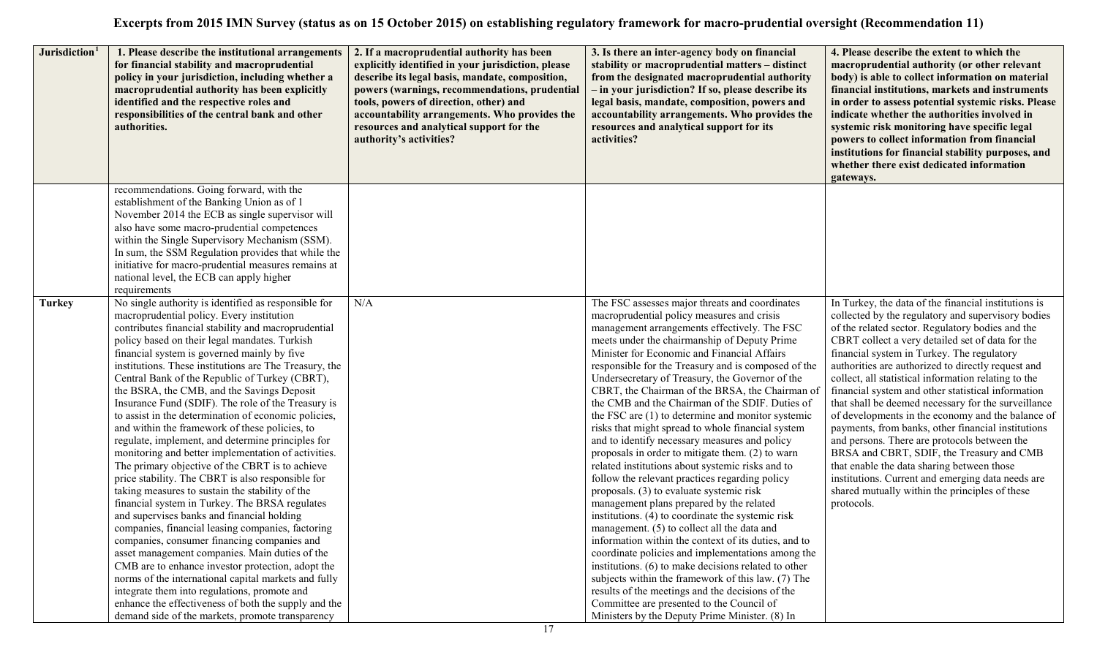| Jurisdiction <sup>1</sup> | 1. Please describe the institutional arrangements<br>for financial stability and macroprudential<br>policy in your jurisdiction, including whether a<br>macroprudential authority has been explicitly<br>identified and the respective roles and<br>responsibilities of the central bank and other<br>authorities.                                                                                                                                                                                                                                                                                                                                                                                                                                                                                                                                                                                                                                                                                                                                                                                                                                                                                                                                                                                                                                                                       | 2. If a macroprudential authority has been<br>explicitly identified in your jurisdiction, please<br>describe its legal basis, mandate, composition,<br>powers (warnings, recommendations, prudential<br>tools, powers of direction, other) and<br>accountability arrangements. Who provides the<br>resources and analytical support for the<br>authority's activities? | 3. Is there an inter-agency body on financial<br>stability or macroprudential matters - distinct<br>from the designated macroprudential authority<br>- in your jurisdiction? If so, please describe its<br>legal basis, mandate, composition, powers and<br>accountability arrangements. Who provides the<br>resources and analytical support for its<br>activities?                                                                                                                                                                                                                                                                                                                                                                                                                                                                                                                                                                                                                                                                                                                                                                                                                                                                                                                                                                                       | 4. Please describe the extent to which the<br>macroprudential authority (or other relevant<br>body) is able to collect information on material<br>financial institutions, markets and instruments<br>in order to assess potential systemic risks. Please<br>indicate whether the authorities involved in<br>systemic risk monitoring have specific legal<br>powers to collect information from financial<br>institutions for financial stability purposes, and<br>whether there exist dedicated information<br>gateways.                                                                                                                                                                                                                                                                                                                                               |
|---------------------------|------------------------------------------------------------------------------------------------------------------------------------------------------------------------------------------------------------------------------------------------------------------------------------------------------------------------------------------------------------------------------------------------------------------------------------------------------------------------------------------------------------------------------------------------------------------------------------------------------------------------------------------------------------------------------------------------------------------------------------------------------------------------------------------------------------------------------------------------------------------------------------------------------------------------------------------------------------------------------------------------------------------------------------------------------------------------------------------------------------------------------------------------------------------------------------------------------------------------------------------------------------------------------------------------------------------------------------------------------------------------------------------|------------------------------------------------------------------------------------------------------------------------------------------------------------------------------------------------------------------------------------------------------------------------------------------------------------------------------------------------------------------------|------------------------------------------------------------------------------------------------------------------------------------------------------------------------------------------------------------------------------------------------------------------------------------------------------------------------------------------------------------------------------------------------------------------------------------------------------------------------------------------------------------------------------------------------------------------------------------------------------------------------------------------------------------------------------------------------------------------------------------------------------------------------------------------------------------------------------------------------------------------------------------------------------------------------------------------------------------------------------------------------------------------------------------------------------------------------------------------------------------------------------------------------------------------------------------------------------------------------------------------------------------------------------------------------------------------------------------------------------------|------------------------------------------------------------------------------------------------------------------------------------------------------------------------------------------------------------------------------------------------------------------------------------------------------------------------------------------------------------------------------------------------------------------------------------------------------------------------------------------------------------------------------------------------------------------------------------------------------------------------------------------------------------------------------------------------------------------------------------------------------------------------------------------------------------------------------------------------------------------------|
|                           | recommendations. Going forward, with the<br>establishment of the Banking Union as of 1<br>November 2014 the ECB as single supervisor will<br>also have some macro-prudential competences<br>within the Single Supervisory Mechanism (SSM).<br>In sum, the SSM Regulation provides that while the<br>initiative for macro-prudential measures remains at<br>national level, the ECB can apply higher<br>requirements                                                                                                                                                                                                                                                                                                                                                                                                                                                                                                                                                                                                                                                                                                                                                                                                                                                                                                                                                                      |                                                                                                                                                                                                                                                                                                                                                                        |                                                                                                                                                                                                                                                                                                                                                                                                                                                                                                                                                                                                                                                                                                                                                                                                                                                                                                                                                                                                                                                                                                                                                                                                                                                                                                                                                            |                                                                                                                                                                                                                                                                                                                                                                                                                                                                                                                                                                                                                                                                                                                                                                                                                                                                        |
| <b>Turkey</b>             | No single authority is identified as responsible for<br>macroprudential policy. Every institution<br>contributes financial stability and macroprudential<br>policy based on their legal mandates. Turkish<br>financial system is governed mainly by five<br>institutions. These institutions are The Treasury, the<br>Central Bank of the Republic of Turkey (CBRT),<br>the BSRA, the CMB, and the Savings Deposit<br>Insurance Fund (SDIF). The role of the Treasury is<br>to assist in the determination of economic policies,<br>and within the framework of these policies, to<br>regulate, implement, and determine principles for<br>monitoring and better implementation of activities.<br>The primary objective of the CBRT is to achieve<br>price stability. The CBRT is also responsible for<br>taking measures to sustain the stability of the<br>financial system in Turkey. The BRSA regulates<br>and supervises banks and financial holding<br>companies, financial leasing companies, factoring<br>companies, consumer financing companies and<br>asset management companies. Main duties of the<br>CMB are to enhance investor protection, adopt the<br>norms of the international capital markets and fully<br>integrate them into regulations, promote and<br>enhance the effectiveness of both the supply and the<br>demand side of the markets, promote transparency | N/A                                                                                                                                                                                                                                                                                                                                                                    | The FSC assesses major threats and coordinates<br>macroprudential policy measures and crisis<br>management arrangements effectively. The FSC<br>meets under the chairmanship of Deputy Prime<br>Minister for Economic and Financial Affairs<br>responsible for the Treasury and is composed of the<br>Undersecretary of Treasury, the Governor of the<br>CBRT, the Chairman of the BRSA, the Chairman of<br>the CMB and the Chairman of the SDIF. Duties of<br>the FSC are (1) to determine and monitor systemic<br>risks that might spread to whole financial system<br>and to identify necessary measures and policy<br>proposals in order to mitigate them. (2) to warn<br>related institutions about systemic risks and to<br>follow the relevant practices regarding policy<br>proposals. (3) to evaluate systemic risk<br>management plans prepared by the related<br>institutions. (4) to coordinate the systemic risk<br>management. (5) to collect all the data and<br>information within the context of its duties, and to<br>coordinate policies and implementations among the<br>institutions. (6) to make decisions related to other<br>subjects within the framework of this law. (7) The<br>results of the meetings and the decisions of the<br>Committee are presented to the Council of<br>Ministers by the Deputy Prime Minister. (8) In | In Turkey, the data of the financial institutions is<br>collected by the regulatory and supervisory bodies<br>of the related sector. Regulatory bodies and the<br>CBRT collect a very detailed set of data for the<br>financial system in Turkey. The regulatory<br>authorities are authorized to directly request and<br>collect, all statistical information relating to the<br>financial system and other statistical information<br>that shall be deemed necessary for the surveillance<br>of developments in the economy and the balance of<br>payments, from banks, other financial institutions<br>and persons. There are protocols between the<br>BRSA and CBRT, SDIF, the Treasury and CMB<br>that enable the data sharing between those<br>institutions. Current and emerging data needs are<br>shared mutually within the principles of these<br>protocols. |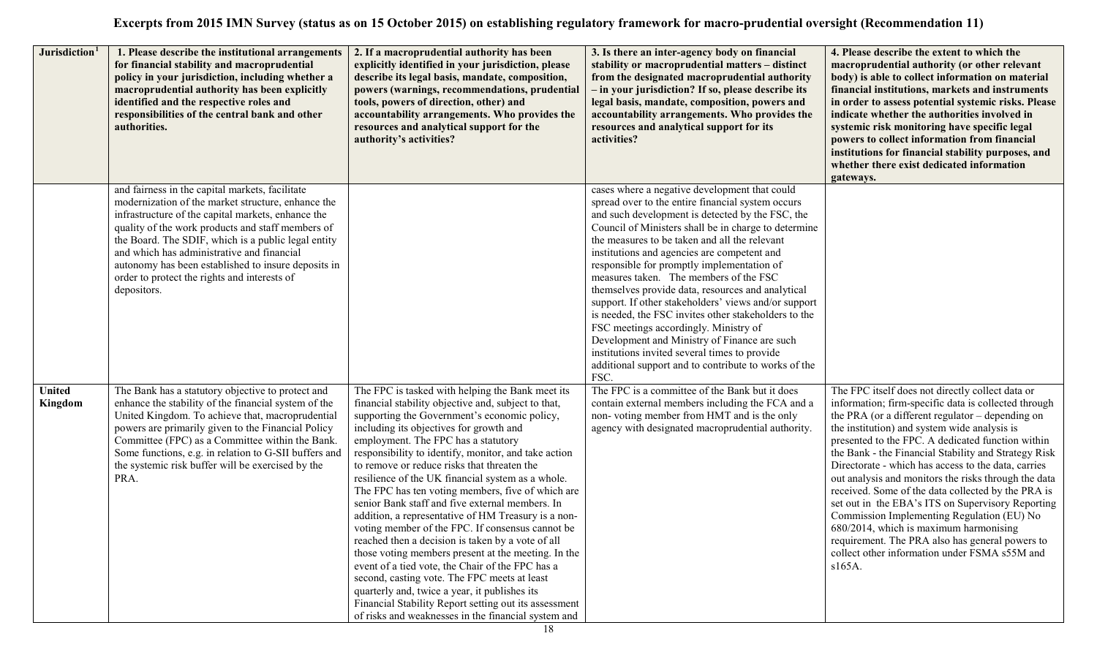| Jurisdiction <sup>1</sup> | 1. Please describe the institutional arrangements<br>for financial stability and macroprudential<br>policy in your jurisdiction, including whether a<br>macroprudential authority has been explicitly<br>identified and the respective roles and<br>responsibilities of the central bank and other<br>authorities.                                                                                                                          | 2. If a macroprudential authority has been<br>explicitly identified in your jurisdiction, please<br>describe its legal basis, mandate, composition,<br>powers (warnings, recommendations, prudential<br>tools, powers of direction, other) and<br>accountability arrangements. Who provides the<br>resources and analytical support for the<br>authority's activities?                                                                                                                                                                                                                                                                                                                                                                                                                                                                                                                                                                                                                                    | 3. Is there an inter-agency body on financial<br>stability or macroprudential matters - distinct<br>from the designated macroprudential authority<br>- in your jurisdiction? If so, please describe its<br>legal basis, mandate, composition, powers and<br>accountability arrangements. Who provides the<br>resources and analytical support for its<br>activities?                                                                                                                                                                                                                                                                                                                                                                                                                  | 4. Please describe the extent to which the<br>macroprudential authority (or other relevant<br>body) is able to collect information on material<br>financial institutions, markets and instruments<br>in order to assess potential systemic risks. Please<br>indicate whether the authorities involved in<br>systemic risk monitoring have specific legal<br>powers to collect information from financial<br>institutions for financial stability purposes, and<br>whether there exist dedicated information<br>gateways.                                                                                                                                                                                                                                     |
|---------------------------|---------------------------------------------------------------------------------------------------------------------------------------------------------------------------------------------------------------------------------------------------------------------------------------------------------------------------------------------------------------------------------------------------------------------------------------------|-----------------------------------------------------------------------------------------------------------------------------------------------------------------------------------------------------------------------------------------------------------------------------------------------------------------------------------------------------------------------------------------------------------------------------------------------------------------------------------------------------------------------------------------------------------------------------------------------------------------------------------------------------------------------------------------------------------------------------------------------------------------------------------------------------------------------------------------------------------------------------------------------------------------------------------------------------------------------------------------------------------|---------------------------------------------------------------------------------------------------------------------------------------------------------------------------------------------------------------------------------------------------------------------------------------------------------------------------------------------------------------------------------------------------------------------------------------------------------------------------------------------------------------------------------------------------------------------------------------------------------------------------------------------------------------------------------------------------------------------------------------------------------------------------------------|--------------------------------------------------------------------------------------------------------------------------------------------------------------------------------------------------------------------------------------------------------------------------------------------------------------------------------------------------------------------------------------------------------------------------------------------------------------------------------------------------------------------------------------------------------------------------------------------------------------------------------------------------------------------------------------------------------------------------------------------------------------|
|                           | and fairness in the capital markets, facilitate<br>modernization of the market structure, enhance the<br>infrastructure of the capital markets, enhance the<br>quality of the work products and staff members of<br>the Board. The SDIF, which is a public legal entity<br>and which has administrative and financial<br>autonomy has been established to insure deposits in<br>order to protect the rights and interests of<br>depositors. |                                                                                                                                                                                                                                                                                                                                                                                                                                                                                                                                                                                                                                                                                                                                                                                                                                                                                                                                                                                                           | cases where a negative development that could<br>spread over to the entire financial system occurs<br>and such development is detected by the FSC, the<br>Council of Ministers shall be in charge to determine<br>the measures to be taken and all the relevant<br>institutions and agencies are competent and<br>responsible for promptly implementation of<br>measures taken. The members of the FSC<br>themselves provide data, resources and analytical<br>support. If other stakeholders' views and/or support<br>is needed, the FSC invites other stakeholders to the<br>FSC meetings accordingly. Ministry of<br>Development and Ministry of Finance are such<br>institutions invited several times to provide<br>additional support and to contribute to works of the<br>FSC. |                                                                                                                                                                                                                                                                                                                                                                                                                                                                                                                                                                                                                                                                                                                                                              |
| <b>United</b><br>Kingdom  | The Bank has a statutory objective to protect and<br>enhance the stability of the financial system of the<br>United Kingdom. To achieve that, macroprudential<br>powers are primarily given to the Financial Policy<br>Committee (FPC) as a Committee within the Bank.<br>Some functions, e.g. in relation to G-SII buffers and<br>the systemic risk buffer will be exercised by the<br>PRA.                                                | The FPC is tasked with helping the Bank meet its<br>financial stability objective and, subject to that,<br>supporting the Government's economic policy,<br>including its objectives for growth and<br>employment. The FPC has a statutory<br>responsibility to identify, monitor, and take action<br>to remove or reduce risks that threaten the<br>resilience of the UK financial system as a whole.<br>The FPC has ten voting members, five of which are<br>senior Bank staff and five external members. In<br>addition, a representative of HM Treasury is a non-<br>voting member of the FPC. If consensus cannot be<br>reached then a decision is taken by a vote of all<br>those voting members present at the meeting. In the<br>event of a tied vote, the Chair of the FPC has a<br>second, casting vote. The FPC meets at least<br>quarterly and, twice a year, it publishes its<br>Financial Stability Report setting out its assessment<br>of risks and weaknesses in the financial system and | The FPC is a committee of the Bank but it does<br>contain external members including the FCA and a<br>non-voting member from HMT and is the only<br>agency with designated macroprudential authority.                                                                                                                                                                                                                                                                                                                                                                                                                                                                                                                                                                                 | The FPC itself does not directly collect data or<br>information; firm-specific data is collected through<br>the PRA (or a different regulator – depending on<br>the institution) and system wide analysis is<br>presented to the FPC. A dedicated function within<br>the Bank - the Financial Stability and Strategy Risk<br>Directorate - which has access to the data, carries<br>out analysis and monitors the risks through the data<br>received. Some of the data collected by the PRA is<br>set out in the EBA's ITS on Supervisory Reporting<br>Commission Implementing Regulation (EU) No<br>680/2014, which is maximum harmonising<br>requirement. The PRA also has general powers to<br>collect other information under FSMA s55M and<br>$s165A$ . |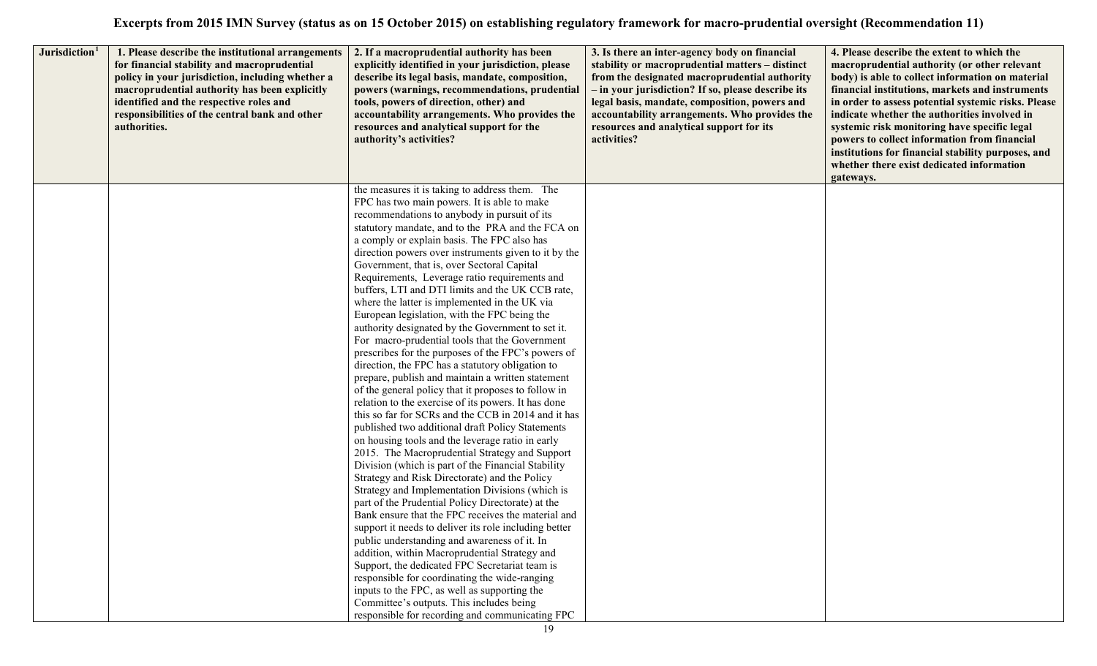| Jurisdiction <sup>1</sup> | 1. Please describe the institutional arrangements<br>for financial stability and macroprudential<br>policy in your jurisdiction, including whether a<br>macroprudential authority has been explicitly<br>identified and the respective roles and<br>responsibilities of the central bank and other<br>authorities. | 2. If a macroprudential authority has been<br>explicitly identified in your jurisdiction, please<br>describe its legal basis, mandate, composition,<br>powers (warnings, recommendations, prudential<br>tools, powers of direction, other) and<br>accountability arrangements. Who provides the<br>resources and analytical support for the<br>authority's activities?           | 3. Is there an inter-agency body on financial<br>stability or macroprudential matters - distinct<br>from the designated macroprudential authority<br>- in your jurisdiction? If so, please describe its<br>legal basis, mandate, composition, powers and<br>accountability arrangements. Who provides the<br>resources and analytical support for its<br>activities? | 4. Please describe the extent to which the<br>macroprudential authority (or other relevant<br>body) is able to collect information on material<br>financial institutions, markets and instruments<br>in order to assess potential systemic risks. Please<br>indicate whether the authorities involved in<br>systemic risk monitoring have specific legal<br>powers to collect information from financial<br>institutions for financial stability purposes, and<br>whether there exist dedicated information<br>gateways. |
|---------------------------|--------------------------------------------------------------------------------------------------------------------------------------------------------------------------------------------------------------------------------------------------------------------------------------------------------------------|----------------------------------------------------------------------------------------------------------------------------------------------------------------------------------------------------------------------------------------------------------------------------------------------------------------------------------------------------------------------------------|----------------------------------------------------------------------------------------------------------------------------------------------------------------------------------------------------------------------------------------------------------------------------------------------------------------------------------------------------------------------|--------------------------------------------------------------------------------------------------------------------------------------------------------------------------------------------------------------------------------------------------------------------------------------------------------------------------------------------------------------------------------------------------------------------------------------------------------------------------------------------------------------------------|
|                           |                                                                                                                                                                                                                                                                                                                    | FPC has two main powers. It is able to make<br>recommendations to anybody in pursuit of its<br>statutory mandate, and to the PRA and the FCA on<br>a comply or explain basis. The FPC also has<br>direction powers over instruments given to it by the<br>Government, that is, over Sectoral Capital<br>Requirements, Leverage ratio requirements and                            |                                                                                                                                                                                                                                                                                                                                                                      |                                                                                                                                                                                                                                                                                                                                                                                                                                                                                                                          |
|                           |                                                                                                                                                                                                                                                                                                                    | buffers, LTI and DTI limits and the UK CCB rate,<br>where the latter is implemented in the UK via<br>European legislation, with the FPC being the<br>authority designated by the Government to set it.<br>For macro-prudential tools that the Government<br>prescribes for the purposes of the FPC's powers of<br>direction, the FPC has a statutory obligation to               |                                                                                                                                                                                                                                                                                                                                                                      |                                                                                                                                                                                                                                                                                                                                                                                                                                                                                                                          |
|                           |                                                                                                                                                                                                                                                                                                                    | prepare, publish and maintain a written statement<br>of the general policy that it proposes to follow in<br>relation to the exercise of its powers. It has done<br>this so far for SCRs and the CCB in 2014 and it has<br>published two additional draft Policy Statements<br>on housing tools and the leverage ratio in early<br>2015. The Macroprudential Strategy and Support |                                                                                                                                                                                                                                                                                                                                                                      |                                                                                                                                                                                                                                                                                                                                                                                                                                                                                                                          |
|                           |                                                                                                                                                                                                                                                                                                                    | Division (which is part of the Financial Stability<br>Strategy and Risk Directorate) and the Policy<br>Strategy and Implementation Divisions (which is<br>part of the Prudential Policy Directorate) at the<br>Bank ensure that the FPC receives the material and<br>support it needs to deliver its role including better<br>public understanding and awareness of it. In       |                                                                                                                                                                                                                                                                                                                                                                      |                                                                                                                                                                                                                                                                                                                                                                                                                                                                                                                          |
|                           |                                                                                                                                                                                                                                                                                                                    | addition, within Macroprudential Strategy and<br>Support, the dedicated FPC Secretariat team is<br>responsible for coordinating the wide-ranging<br>inputs to the FPC, as well as supporting the<br>Committee's outputs. This includes being<br>responsible for recording and communicating FPC                                                                                  |                                                                                                                                                                                                                                                                                                                                                                      |                                                                                                                                                                                                                                                                                                                                                                                                                                                                                                                          |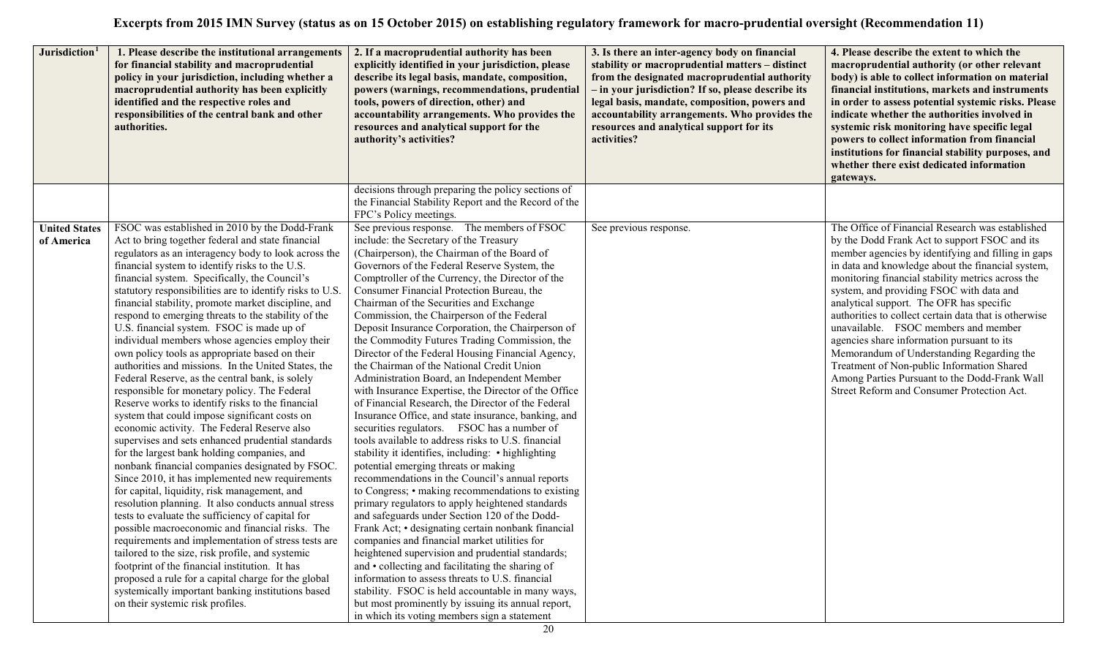| Jurisdiction <sup>1</sup>          | 1. Please describe the institutional arrangements<br>for financial stability and macroprudential<br>policy in your jurisdiction, including whether a<br>macroprudential authority has been explicitly<br>identified and the respective roles and<br>responsibilities of the central bank and other<br>authorities.                                                                                                                                                                                                                                                                                                                                                                                                                                                                                                                                                                                                                                                                                                                                                                                                                                                                                                                                                                                                                                                                                                                                                                                                                                                                                                                           | 2. If a macroprudential authority has been<br>explicitly identified in your jurisdiction, please<br>describe its legal basis, mandate, composition,<br>powers (warnings, recommendations, prudential<br>tools, powers of direction, other) and<br>accountability arrangements. Who provides the<br>resources and analytical support for the<br>authority's activities?                                                                                                                                                                                                                                                                                                                                                                                                                                                                                                                                                                                                                                                                                                                                                                                                                                                                                                                                                                                                                                                                                                                                                                                                                                                                                | 3. Is there an inter-agency body on financial<br>stability or macroprudential matters - distinct<br>from the designated macroprudential authority<br>- in your jurisdiction? If so, please describe its<br>legal basis, mandate, composition, powers and<br>accountability arrangements. Who provides the<br>resources and analytical support for its<br>activities? | 4. Please describe the extent to which the<br>macroprudential authority (or other relevant<br>body) is able to collect information on material<br>financial institutions, markets and instruments<br>in order to assess potential systemic risks. Please<br>indicate whether the authorities involved in<br>systemic risk monitoring have specific legal<br>powers to collect information from financial<br>institutions for financial stability purposes, and<br>whether there exist dedicated information<br>gateways.                                                                                                                                                                           |
|------------------------------------|----------------------------------------------------------------------------------------------------------------------------------------------------------------------------------------------------------------------------------------------------------------------------------------------------------------------------------------------------------------------------------------------------------------------------------------------------------------------------------------------------------------------------------------------------------------------------------------------------------------------------------------------------------------------------------------------------------------------------------------------------------------------------------------------------------------------------------------------------------------------------------------------------------------------------------------------------------------------------------------------------------------------------------------------------------------------------------------------------------------------------------------------------------------------------------------------------------------------------------------------------------------------------------------------------------------------------------------------------------------------------------------------------------------------------------------------------------------------------------------------------------------------------------------------------------------------------------------------------------------------------------------------|-------------------------------------------------------------------------------------------------------------------------------------------------------------------------------------------------------------------------------------------------------------------------------------------------------------------------------------------------------------------------------------------------------------------------------------------------------------------------------------------------------------------------------------------------------------------------------------------------------------------------------------------------------------------------------------------------------------------------------------------------------------------------------------------------------------------------------------------------------------------------------------------------------------------------------------------------------------------------------------------------------------------------------------------------------------------------------------------------------------------------------------------------------------------------------------------------------------------------------------------------------------------------------------------------------------------------------------------------------------------------------------------------------------------------------------------------------------------------------------------------------------------------------------------------------------------------------------------------------------------------------------------------------|----------------------------------------------------------------------------------------------------------------------------------------------------------------------------------------------------------------------------------------------------------------------------------------------------------------------------------------------------------------------|----------------------------------------------------------------------------------------------------------------------------------------------------------------------------------------------------------------------------------------------------------------------------------------------------------------------------------------------------------------------------------------------------------------------------------------------------------------------------------------------------------------------------------------------------------------------------------------------------------------------------------------------------------------------------------------------------|
|                                    |                                                                                                                                                                                                                                                                                                                                                                                                                                                                                                                                                                                                                                                                                                                                                                                                                                                                                                                                                                                                                                                                                                                                                                                                                                                                                                                                                                                                                                                                                                                                                                                                                                              | decisions through preparing the policy sections of<br>the Financial Stability Report and the Record of the<br>FPC's Policy meetings.                                                                                                                                                                                                                                                                                                                                                                                                                                                                                                                                                                                                                                                                                                                                                                                                                                                                                                                                                                                                                                                                                                                                                                                                                                                                                                                                                                                                                                                                                                                  |                                                                                                                                                                                                                                                                                                                                                                      |                                                                                                                                                                                                                                                                                                                                                                                                                                                                                                                                                                                                                                                                                                    |
| <b>United States</b><br>of America | FSOC was established in 2010 by the Dodd-Frank<br>Act to bring together federal and state financial<br>regulators as an interagency body to look across the<br>financial system to identify risks to the U.S.<br>financial system. Specifically, the Council's<br>statutory responsibilities are to identify risks to U.S.<br>financial stability, promote market discipline, and<br>respond to emerging threats to the stability of the<br>U.S. financial system. FSOC is made up of<br>individual members whose agencies employ their<br>own policy tools as appropriate based on their<br>authorities and missions. In the United States, the<br>Federal Reserve, as the central bank, is solely<br>responsible for monetary policy. The Federal<br>Reserve works to identify risks to the financial<br>system that could impose significant costs on<br>economic activity. The Federal Reserve also<br>supervises and sets enhanced prudential standards<br>for the largest bank holding companies, and<br>nonbank financial companies designated by FSOC.<br>Since 2010, it has implemented new requirements<br>for capital, liquidity, risk management, and<br>resolution planning. It also conducts annual stress<br>tests to evaluate the sufficiency of capital for<br>possible macroeconomic and financial risks. The<br>requirements and implementation of stress tests are<br>tailored to the size, risk profile, and systemic<br>footprint of the financial institution. It has<br>proposed a rule for a capital charge for the global<br>systemically important banking institutions based<br>on their systemic risk profiles. | See previous response. The members of FSOC<br>include: the Secretary of the Treasury<br>(Chairperson), the Chairman of the Board of<br>Governors of the Federal Reserve System, the<br>Comptroller of the Currency, the Director of the<br>Consumer Financial Protection Bureau, the<br>Chairman of the Securities and Exchange<br>Commission, the Chairperson of the Federal<br>Deposit Insurance Corporation, the Chairperson of<br>the Commodity Futures Trading Commission, the<br>Director of the Federal Housing Financial Agency,<br>the Chairman of the National Credit Union<br>Administration Board, an Independent Member<br>with Insurance Expertise, the Director of the Office<br>of Financial Research, the Director of the Federal<br>Insurance Office, and state insurance, banking, and<br>securities regulators. FSOC has a number of<br>tools available to address risks to U.S. financial<br>stability it identifies, including: • highlighting<br>potential emerging threats or making<br>recommendations in the Council's annual reports<br>to Congress; • making recommendations to existing<br>primary regulators to apply heightened standards<br>and safeguards under Section 120 of the Dodd-<br>Frank Act; • designating certain nonbank financial<br>companies and financial market utilities for<br>heightened supervision and prudential standards;<br>and • collecting and facilitating the sharing of<br>information to assess threats to U.S. financial<br>stability. FSOC is held accountable in many ways,<br>but most prominently by issuing its annual report,<br>in which its voting members sign a statement | See previous response.                                                                                                                                                                                                                                                                                                                                               | The Office of Financial Research was established<br>by the Dodd Frank Act to support FSOC and its<br>member agencies by identifying and filling in gaps<br>in data and knowledge about the financial system,<br>monitoring financial stability metrics across the<br>system, and providing FSOC with data and<br>analytical support. The OFR has specific<br>authorities to collect certain data that is otherwise<br>unavailable. FSOC members and member<br>agencies share information pursuant to its<br>Memorandum of Understanding Regarding the<br>Treatment of Non-public Information Shared<br>Among Parties Pursuant to the Dodd-Frank Wall<br>Street Reform and Consumer Protection Act. |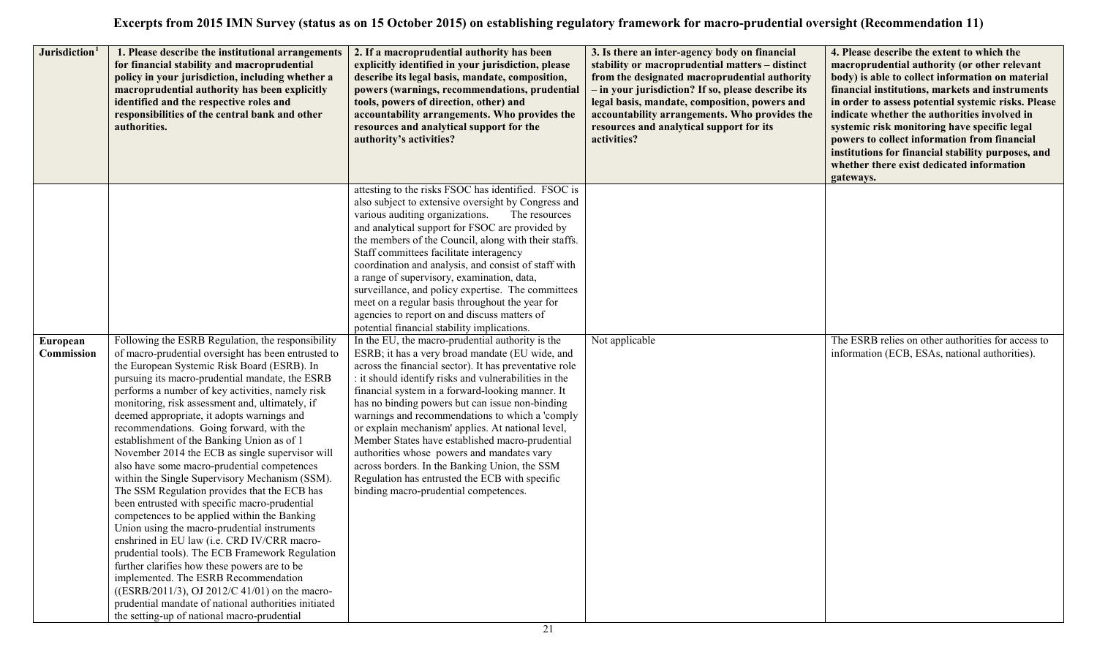| Jurisdiction <sup>1</sup> | 1. Please describe the institutional arrangements<br>for financial stability and macroprudential<br>policy in your jurisdiction, including whether a<br>macroprudential authority has been explicitly<br>identified and the respective roles and<br>responsibilities of the central bank and other<br>authorities.                                                                                                                                                                                                                                                                                                                                                                                                                                                                                                                                                                                                                                                                                                                                                                                                                                                    | 2. If a macroprudential authority has been<br>explicitly identified in your jurisdiction, please<br>describe its legal basis, mandate, composition,<br>powers (warnings, recommendations, prudential<br>tools, powers of direction, other) and<br>accountability arrangements. Who provides the<br>resources and analytical support for the<br>authority's activities?                                                                                                                                                                                                                                                                                                                                                                                                                                                                                                                                                                                                                                                                                                                                                                                                                                                                                                                                                   | 3. Is there an inter-agency body on financial<br>stability or macroprudential matters - distinct<br>from the designated macroprudential authority<br>- in your jurisdiction? If so, please describe its<br>legal basis, mandate, composition, powers and<br>accountability arrangements. Who provides the<br>resources and analytical support for its<br>activities? | 4. Please describe the extent to which the<br>macroprudential authority (or other relevant<br>body) is able to collect information on material<br>financial institutions, markets and instruments<br>in order to assess potential systemic risks. Please<br>indicate whether the authorities involved in<br>systemic risk monitoring have specific legal<br>powers to collect information from financial<br>institutions for financial stability purposes, and<br>whether there exist dedicated information<br>gateways. |
|---------------------------|-----------------------------------------------------------------------------------------------------------------------------------------------------------------------------------------------------------------------------------------------------------------------------------------------------------------------------------------------------------------------------------------------------------------------------------------------------------------------------------------------------------------------------------------------------------------------------------------------------------------------------------------------------------------------------------------------------------------------------------------------------------------------------------------------------------------------------------------------------------------------------------------------------------------------------------------------------------------------------------------------------------------------------------------------------------------------------------------------------------------------------------------------------------------------|--------------------------------------------------------------------------------------------------------------------------------------------------------------------------------------------------------------------------------------------------------------------------------------------------------------------------------------------------------------------------------------------------------------------------------------------------------------------------------------------------------------------------------------------------------------------------------------------------------------------------------------------------------------------------------------------------------------------------------------------------------------------------------------------------------------------------------------------------------------------------------------------------------------------------------------------------------------------------------------------------------------------------------------------------------------------------------------------------------------------------------------------------------------------------------------------------------------------------------------------------------------------------------------------------------------------------|----------------------------------------------------------------------------------------------------------------------------------------------------------------------------------------------------------------------------------------------------------------------------------------------------------------------------------------------------------------------|--------------------------------------------------------------------------------------------------------------------------------------------------------------------------------------------------------------------------------------------------------------------------------------------------------------------------------------------------------------------------------------------------------------------------------------------------------------------------------------------------------------------------|
| European<br>Commission    | Following the ESRB Regulation, the responsibility<br>of macro-prudential oversight has been entrusted to<br>the European Systemic Risk Board (ESRB). In<br>pursuing its macro-prudential mandate, the ESRB<br>performs a number of key activities, namely risk<br>monitoring, risk assessment and, ultimately, if<br>deemed appropriate, it adopts warnings and<br>recommendations. Going forward, with the<br>establishment of the Banking Union as of 1<br>November 2014 the ECB as single supervisor will<br>also have some macro-prudential competences<br>within the Single Supervisory Mechanism (SSM).<br>The SSM Regulation provides that the ECB has<br>been entrusted with specific macro-prudential<br>competences to be applied within the Banking<br>Union using the macro-prudential instruments<br>enshrined in EU law (i.e. CRD IV/CRR macro-<br>prudential tools). The ECB Framework Regulation<br>further clarifies how these powers are to be<br>implemented. The ESRB Recommendation<br>( $(ESRB/2011/3)$ , OJ 2012/C 41/01) on the macro-<br>prudential mandate of national authorities initiated<br>the setting-up of national macro-prudential | attesting to the risks FSOC has identified. FSOC is<br>also subject to extensive oversight by Congress and<br>various auditing organizations.<br>The resources<br>and analytical support for FSOC are provided by<br>the members of the Council, along with their staffs.<br>Staff committees facilitate interagency<br>coordination and analysis, and consist of staff with<br>a range of supervisory, examination, data,<br>surveillance, and policy expertise. The committees<br>meet on a regular basis throughout the year for<br>agencies to report on and discuss matters of<br>potential financial stability implications.<br>In the EU, the macro-prudential authority is the<br>ESRB; it has a very broad mandate (EU wide, and<br>across the financial sector). It has preventative role<br>: it should identify risks and vulnerabilities in the<br>financial system in a forward-looking manner. It<br>has no binding powers but can issue non-binding<br>warnings and recommendations to which a 'comply<br>or explain mechanism' applies. At national level,<br>Member States have established macro-prudential<br>authorities whose powers and mandates vary<br>across borders. In the Banking Union, the SSM<br>Regulation has entrusted the ECB with specific<br>binding macro-prudential competences. | Not applicable                                                                                                                                                                                                                                                                                                                                                       | The ESRB relies on other authorities for access to<br>information (ECB, ESAs, national authorities).                                                                                                                                                                                                                                                                                                                                                                                                                     |